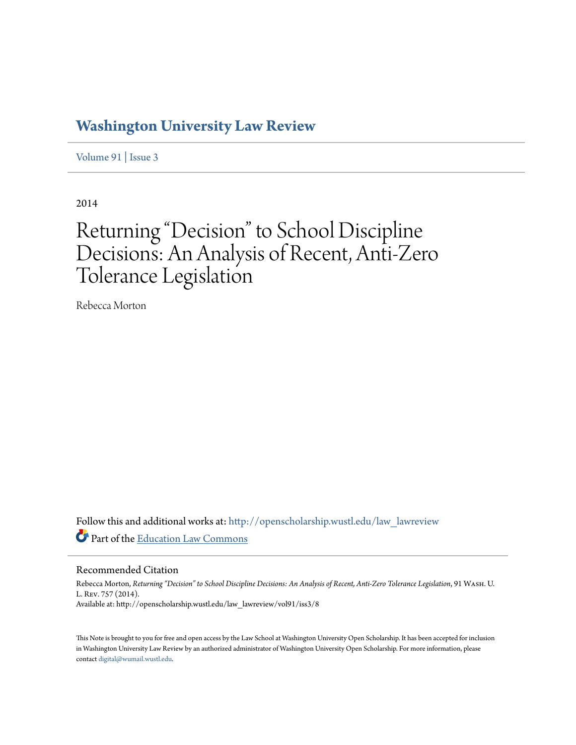## **[Washington University Law Review](http://openscholarship.wustl.edu/law_lawreview?utm_source=openscholarship.wustl.edu%2Flaw_lawreview%2Fvol91%2Fiss3%2F8&utm_medium=PDF&utm_campaign=PDFCoverPages)**

[Volume 91](http://openscholarship.wustl.edu/law_lawreview/vol91?utm_source=openscholarship.wustl.edu%2Flaw_lawreview%2Fvol91%2Fiss3%2F8&utm_medium=PDF&utm_campaign=PDFCoverPages) | [Issue 3](http://openscholarship.wustl.edu/law_lawreview/vol91/iss3?utm_source=openscholarship.wustl.edu%2Flaw_lawreview%2Fvol91%2Fiss3%2F8&utm_medium=PDF&utm_campaign=PDFCoverPages)

2014

# Returning "Decision" to School Discipline Decisions: An Analysis of Recent, Anti-Zero Tolerance Legislation

Rebecca Morton

Follow this and additional works at: [http://openscholarship.wustl.edu/law\\_lawreview](http://openscholarship.wustl.edu/law_lawreview?utm_source=openscholarship.wustl.edu%2Flaw_lawreview%2Fvol91%2Fiss3%2F8&utm_medium=PDF&utm_campaign=PDFCoverPages) Part of the [Education Law Commons](http://network.bepress.com/hgg/discipline/596?utm_source=openscholarship.wustl.edu%2Flaw_lawreview%2Fvol91%2Fiss3%2F8&utm_medium=PDF&utm_campaign=PDFCoverPages)

Recommended Citation

Rebecca Morton, *Returning "Decision" to School Discipline Decisions: An Analysis of Recent, Anti-Zero Tolerance Legislation*, 91 Wash. U. L. Rev. 757 (2014). Available at: http://openscholarship.wustl.edu/law\_lawreview/vol91/iss3/8

This Note is brought to you for free and open access by the Law School at Washington University Open Scholarship. It has been accepted for inclusion in Washington University Law Review by an authorized administrator of Washington University Open Scholarship. For more information, please contact [digital@wumail.wustl.edu.](mailto:digital@wumail.wustl.edu)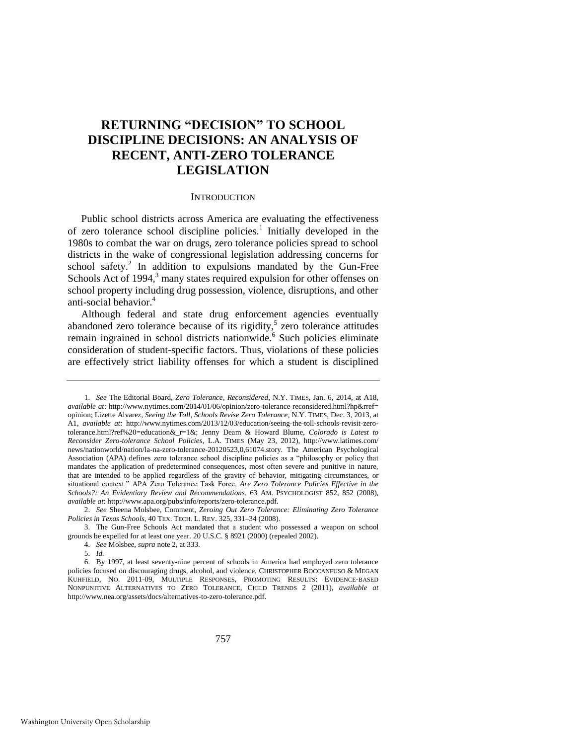### **RETURNING "DECISION" TO SCHOOL DISCIPLINE DECISIONS: AN ANALYSIS OF RECENT, ANTI-ZERO TOLERANCE LEGISLATION**

#### <span id="page-1-2"></span><span id="page-1-1"></span>**INTRODUCTION**

<span id="page-1-0"></span>Public school districts across America are evaluating the effectiveness of zero tolerance school discipline policies.<sup>1</sup> Initially developed in the 1980s to combat the war on drugs, zero tolerance policies spread to school districts in the wake of congressional legislation addressing concerns for school safety. ${}^{2}$  In addition to expulsions mandated by the Gun-Free Schools Act of 1994, $3$  many states required expulsion for other offenses on school property including drug possession, violence, disruptions, and other anti-social behavior.<sup>4</sup>

Although federal and state drug enforcement agencies eventually abandoned zero tolerance because of its rigidity, $5$  zero tolerance attitudes remain ingrained in school districts nationwide.<sup>6</sup> Such policies eliminate consideration of student-specific factors. Thus, violations of these policies are effectively strict liability offenses for which a student is disciplined

<sup>1.</sup> *See* The Editorial Board, *Zero Tolerance, Reconsidered*, N.Y. TIMES, Jan. 6, 2014, at A18, *available at*: http://www.nytimes.com/2014/01/06/opinion/zero-tolerance-reconsidered.html?hp&rref= opinion; Lizette Alvarez, *Seeing the Toll, Schools Revise Zero Tolerance*, N.Y. TIMES, Dec. 3, 2013, at A1, *available at*: http://www.nytimes.com/2013/12/03/education/seeing-the-toll-schools-revisit-zerotolerance.html?ref%20=education&\_r=1&; Jenny Deam & Howard Blume, *Colorado is Latest to Reconsider Zero-tolerance School Policies*, L.A. TIMES (May 23, 2012), http://www.latimes.com/ news/nationworld/nation/la-na-zero-tolerance-20120523,0,61074.story. The American Psychological Association (APA) defines zero tolerance school discipline policies as a "philosophy or policy that mandates the application of predetermined consequences, most often severe and punitive in nature, that are intended to be applied regardless of the gravity of behavior, mitigating circumstances, or situational context." APA Zero Tolerance Task Force, *Are Zero Tolerance Policies Effective in the Schools?: An Evidentiary Review and Recommendations*, 63 AM. PSYCHOLOGIST 852, 852 (2008), *available at*: http://www.apa.org/pubs/info/reports/zero-tolerance.pdf.

<sup>2.</sup> *See* Sheena Molsbee, Comment, *Zeroing Out Zero Tolerance: Eliminating Zero Tolerance Policies in Texas Schools*, 40 TEX. TECH. L. REV. 325, 331–34 (2008).

<sup>3.</sup> The Gun-Free Schools Act mandated that a student who possessed a weapon on school grounds be expelled for at least one year. 20 U.S.C. § 8921 (2000) (repealed 2002).

<sup>4.</sup> *See* Molsbee, *supra* not[e 2,](#page-1-0) at 333.

<sup>5.</sup> *Id.*

<sup>6.</sup> By 1997, at least seventy-nine percent of schools in America had employed zero tolerance policies focused on discouraging drugs, alcohol, and violence. CHRISTOPHER BOCCANFUSO & MEGAN KUHFIELD, NO. 2011-09, MULTIPLE RESPONSES, PROMOTING RESULTS: EVIDENCE-BASED NONPUNITIVE ALTERNATIVES TO ZERO TOLERANCE, CHILD TRENDS 2 (2011), *available at* http://www.nea.org/assets/docs/alternatives-to-zero-tolerance.pdf.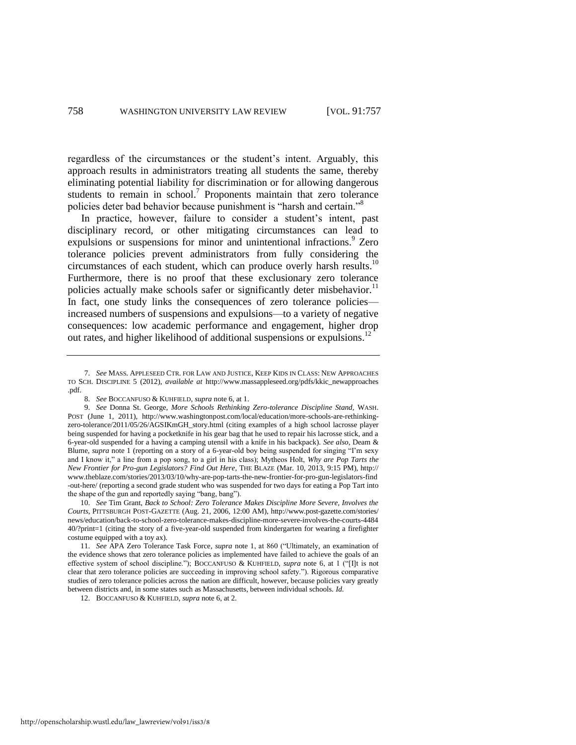regardless of the circumstances or the student's intent. Arguably, this approach results in administrators treating all students the same, thereby eliminating potential liability for discrimination or for allowing dangerous students to remain in  $school$ <sup>7</sup> Proponents maintain that zero tolerance policies deter bad behavior because punishment is "harsh and certain."<sup>8</sup>

<span id="page-2-2"></span><span id="page-2-1"></span><span id="page-2-0"></span>In practice, however, failure to consider a student's intent, past disciplinary record, or other mitigating circumstances can lead to expulsions or suspensions for minor and unintentional infractions.<sup>9</sup> Zero tolerance policies prevent administrators from fully considering the circumstances of each student, which can produce overly harsh results.<sup>10</sup> Furthermore, there is no proof that these exclusionary zero tolerance policies actually make schools safer or significantly deter misbehavior.<sup>11</sup> In fact, one study links the consequences of zero tolerance policies increased numbers of suspensions and expulsions—to a variety of negative consequences: low academic performance and engagement, higher drop out rates, and higher likelihood of additional suspensions or expulsions.<sup>12</sup>

http://openscholarship.wustl.edu/law\_lawreview/vol91/iss3/8

<sup>7.</sup> *See* MASS. APPLESEED CTR. FOR LAW AND JUSTICE, KEEP KIDS IN CLASS: NEW APPROACHES TO SCH. DISCIPLINE 5 (2012), *available at* [http://www.massappleseed.org/p](http://www.massappleseed.org/)dfs/kkic\_newapproaches .pdf.

<sup>8.</sup> *See* BOCCANFUSO & KUHFIELD, *supra* not[e 6,](#page-1-1) at 1.

<sup>9.</sup> *See* Donna St. George, *More Schools Rethinking Zero-tolerance Discipline Stand*, WASH. POST (June 1, 2011), http://www.washingtonpost.com/local/education/more-schools-are-rethinkingzero-tolerance/2011/05/26/AGSIKmGH\_story*.*html (citing examples of a high school lacrosse player being suspended for having a pocketknife in his gear bag that he used to repair his lacrosse stick, and a 6-year-old suspended for a having a camping utensil with a knife in his backpack). *See also*, Deam & Blume, *supra* note [1](#page-1-2) (reporting on a story of a 6-year-old boy being suspended for singing "I'm sexy and I know it," a line from a pop song, to a girl in his class); Mytheos Holt, *Why are Pop Tarts the New Frontier for Pro-gun Legislators? Find Out Here*, THE BLAZE (Mar. 10, 2013, 9:15 PM), http:// www.theblaze.com/stories/2013/03/10/why-are-pop-tarts-the-new-frontier-for-pro-gun-legislators-find -out-here/ (reporting a second grade student who was suspended for two days for eating a Pop Tart into the shape of the gun and reportedly saying "bang, bang").

<sup>10.</sup> *See* Tim Grant, *Back to School: Zero Tolerance Makes Discipline More Severe, Involves the Courts*, PITTSBURGH POST-GAZETTE (Aug. 21, 2006, 12:00 AM), http://www.post-gazette.com/stories/ news/education/back-to-school-zero-tolerance-makes-discipline-more-severe-involves-the-courts-4484 40/?print=1 (citing the story of a five-year-old suspended from kindergarten for wearing a firefighter costume equipped with a toy ax).

<sup>11.</sup> *See* APA Zero Tolerance Task Force, *supra* note [1,](#page-1-2) at 860 ("Ultimately, an examination of the evidence shows that zero tolerance policies as implemented have failed to achieve the goals of an effective system of school discipline."); BOCCANFUSO & KUHFIELD, *supra* note [6,](#page-1-1) at 1 ("[I]t is not clear that zero tolerance policies are succeeding in improving school safety."). Rigorous comparative studies of zero tolerance policies across the nation are difficult, however, because policies vary greatly between districts and, in some states such as Massachusetts, between individual schools. *Id.*

<sup>12.</sup> BOCCANFUSO & KUHFIELD, *supra* not[e 6,](#page-1-1) at 2.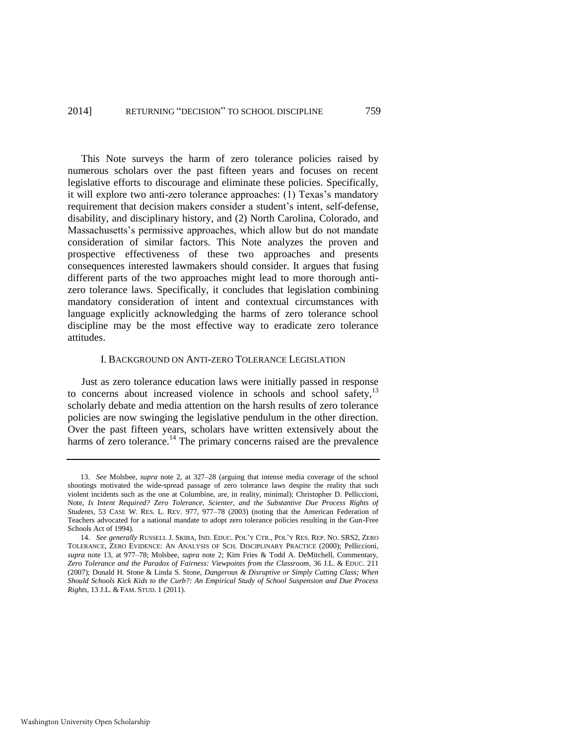This Note surveys the harm of zero tolerance policies raised by numerous scholars over the past fifteen years and focuses on recent legislative efforts to discourage and eliminate these policies. Specifically, it will explore two anti-zero tolerance approaches: (1) Texas's mandatory requirement that decision makers consider a student's intent, self-defense, disability, and disciplinary history, and (2) North Carolina, Colorado, and Massachusetts's permissive approaches, which allow but do not mandate consideration of similar factors. This Note analyzes the proven and prospective effectiveness of these two approaches and presents consequences interested lawmakers should consider. It argues that fusing different parts of the two approaches might lead to more thorough antizero tolerance laws. Specifically, it concludes that legislation combining mandatory consideration of intent and contextual circumstances with language explicitly acknowledging the harms of zero tolerance school discipline may be the most effective way to eradicate zero tolerance attitudes.

#### <span id="page-3-1"></span><span id="page-3-0"></span>I. BACKGROUND ON ANTI-ZERO TOLERANCE LEGISLATION

Just as zero tolerance education laws were initially passed in response to concerns about increased violence in schools and school safety,<sup>13</sup> scholarly debate and media attention on the harsh results of zero tolerance policies are now swinging the legislative pendulum in the other direction. Over the past fifteen years, scholars have written extensively about the harms of zero tolerance.<sup>14</sup> The primary concerns raised are the prevalence

<sup>13.</sup> *See* Molsbee, *supra* note [2,](#page-1-0) at 327–28 (arguing that intense media coverage of the school shootings motivated the wide-spread passage of zero tolerance laws despite the reality that such violent incidents such as the one at Columbine, are, in reality, minimal); Christopher D. Pelliccioni, Note, *Is Intent Required? Zero Tolerance, Scienter, and the Substantive Due Process Rights of Students*, 53 CASE W. RES. L. REV. 977, 977–78 (2003) (noting that the American Federation of Teachers advocated for a national mandate to adopt zero tolerance policies resulting in the Gun-Free Schools Act of 1994).

<sup>14.</sup> *See generally* RUSSELL J. SKIBA, IND. EDUC. POL'Y CTR., POL'Y RES. REP. NO. SRS2, ZERO TOLERANCE, ZERO EVIDENCE: AN ANALYSIS OF SCH. DISCIPLINARY PRACTICE (2000); Pelliccioni, *supra* note [13,](#page-3-0) at 977–78; Molsbee, *supra* note [2;](#page-1-0) Kim Fries & Todd A. DeMitchell, Commentary, *Zero Tolerance and the Paradox of Fairness: Viewpoints from the Classroom*, 36 J.L. & EDUC. 211 (2007); Donald H. Stone & Linda S. Stone, *Dangerous & Disruptive or Simply Cutting Class; When Should Schools Kick Kids to the Curb?: An Empirical Study of School Suspension and Due Process Rights*, 13 J.L. & FAM. STUD. 1 (2011).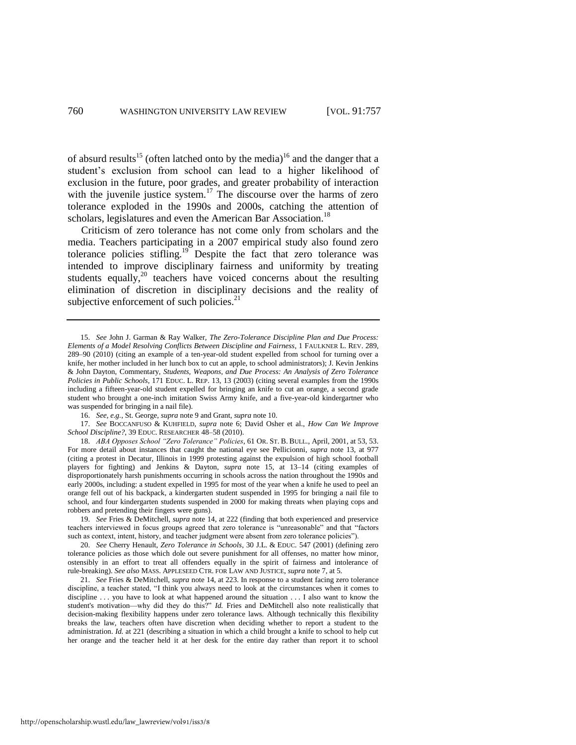<span id="page-4-0"></span>of absurd results<sup>15</sup> (often latched onto by the media)<sup>16</sup> and the danger that a student's exclusion from school can lead to a higher likelihood of exclusion in the future, poor grades, and greater probability of interaction with the juvenile justice system.<sup>17</sup> The discourse over the harms of zero tolerance exploded in the 1990s and 2000s, catching the attention of scholars, legislatures and even the American Bar Association.<sup>18</sup>

<span id="page-4-1"></span>Criticism of zero tolerance has not come only from scholars and the media. Teachers participating in a 2007 empirical study also found zero tolerance policies stifling.<sup>19</sup> Despite the fact that zero tolerance was intended to improve disciplinary fairness and uniformity by treating students equally, $20$  teachers have voiced concerns about the resulting elimination of discretion in disciplinary decisions and the reality of subjective enforcement of such policies. $21$ 

17. *See* BOCCANFUSO & KUHFIELD, *supra* note [6;](#page-1-1) David Osher et al., *How Can We Improve School Discipline?*, 39 EDUC. RESEARCHER 48–58 (2010).

18. *ABA Opposes School "Zero Tolerance" Policies*, 61 OR. ST. B. BULL., April, 2001, at 53, 53. For more detail about instances that caught the national eye see Pellicionni, *supra* note [13,](#page-3-0) at 977 (citing a protest in Decatur, Illinois in 1999 protesting against the expulsion of high school football players for fighting) and Jenkins & Dayton, *supra* note [15,](#page-4-0) at 13–14 (citing examples of disproportionately harsh punishments occurring in schools across the nation throughout the 1990s and early 2000s, including: a student expelled in 1995 for most of the year when a knife he used to peel an orange fell out of his backpack, a kindergarten student suspended in 1995 for bringing a nail file to school, and four kindergarten students suspended in 2000 for making threats when playing cops and robbers and pretending their fingers were guns).

19. *See* Fries & DeMitchell, *supra* not[e 14,](#page-3-1) at 222 (finding that both experienced and preservice teachers interviewed in focus groups agreed that zero tolerance is "unreasonable" and that "factors such as context, intent, history, and teacher judgment were absent from zero tolerance policies").

20. *See* Cherry Henault, *Zero Tolerance in Schools*, 30 J.L. & EDUC. 547 (2001) (defining zero tolerance policies as those which dole out severe punishment for all offenses, no matter how minor, ostensibly in an effort to treat all offenders equally in the spirit of fairness and intolerance of rule-breaking). *See also* MASS. APPLESEED CTR. FOR LAW AND JUSTICE, *supra* not[e 7,](#page-2-2) at 5.

21. *See* Fries & DeMitchell, *supra* not[e 14,](#page-3-1) at 223. In response to a student facing zero tolerance discipline, a teacher stated, "I think you always need to look at the circumstances when it comes to discipline . . . you have to look at what happened around the situation . . . I also want to know the student's motivation—why did they do this?" *Id.* Fries and DeMitchell also note realistically that decision-making flexibility happens under zero tolerance laws. Although technically this flexibility breaks the law, teachers often have discretion when deciding whether to report a student to the administration. *Id.* at 221 (describing a situation in which a child brought a knife to school to help cut her orange and the teacher held it at her desk for the entire day rather than report it to school

<span id="page-4-2"></span><sup>15.</sup> *See* John J. Garman & Ray Walker, *The Zero-Tolerance Discipline Plan and Due Process: Elements of a Model Resolving Conflicts Between Discipline and Fairness*, 1 FAULKNER L. REV. 289, 289–90 (2010) (citing an example of a ten-year-old student expelled from school for turning over a knife, her mother included in her lunch box to cut an apple, to school administrators); J. Kevin Jenkins & John Dayton, Commentary, *Students, Weapons, and Due Process: An Analysis of Zero Tolerance Policies in Public Schools*, 171 EDUC. L. REP. 13, 13 (2003) (citing several examples from the 1990s including a fifteen-year-old student expelled for bringing an knife to cut an orange, a second grade student who brought a one-inch imitation Swiss Army knife, and a five-year-old kindergartner who was suspended for bringing in a nail file).

<sup>16.</sup> *See, e.g.*, St. George, *supra* not[e 9](#page-2-0) and Grant, *supra* not[e 10.](#page-2-1)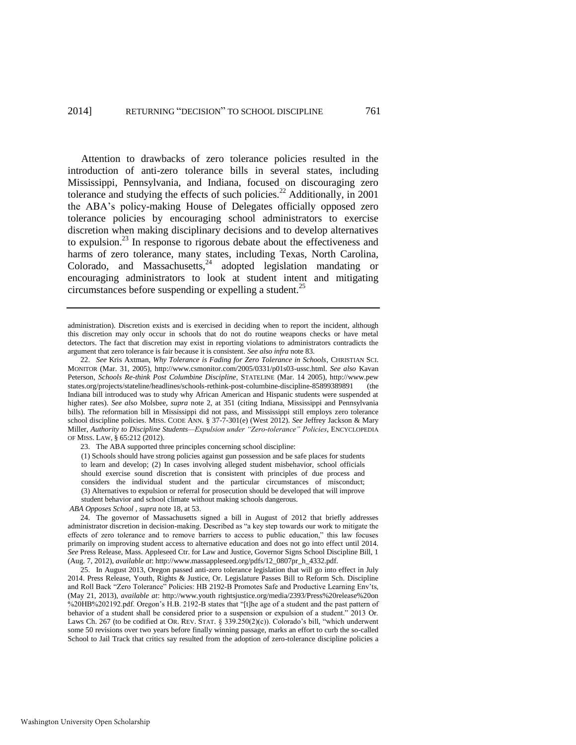Attention to drawbacks of zero tolerance policies resulted in the introduction of anti-zero tolerance bills in several states, including Mississippi, Pennsylvania, and Indiana, focused on discouraging zero tolerance and studying the effects of such policies.<sup>22</sup> Additionally, in 2001 the ABA's policy-making House of Delegates officially opposed zero tolerance policies by encouraging school administrators to exercise discretion when making disciplinary decisions and to develop alternatives to expulsion. $2<sup>3</sup>$  In response to rigorous debate about the effectiveness and harms of zero tolerance, many states, including Texas, North Carolina, Colorado, and Massachusetts, $24$  adopted legislation mandating or encouraging administrators to look at student intent and mitigating circumstances before suspending or expelling a student.<sup>25</sup>

<span id="page-5-0"></span>administration). Discretion exists and is exercised in deciding when to report the incident, although this discretion may only occur in schools that do not do routine weapons checks or have metal detectors. The fact that discretion may exist in reporting violations to administrators contradicts the argument that zero tolerance is fair because it is consistent. *See also infra* not[e 83.](#page-17-0) 

22. *See* Kris Axtman, *Why Tolerance is Fading for Zero Tolerance in Schools*, CHRISTIAN SCI. MONITOR (Mar. 31, 2005), http://www.csmonitor.com/2005/0331/p01s03-ussc.html. *See also* Kavan Peterson, *Schools Re-think Post Columbine Discipline*, STATELINE (Mar. 14 2005), http://www.pew states.org/projects/stateline/headlines/schools-rethink-post-columbine-discipline-85899389891 (the Indiana bill introduced was to study why African American and Hispanic students were suspended at higher rates). *See also* Molsbee, *supra* note [2,](#page-1-0) at 351 (citing Indiana, Mississippi and Pennsylvania bills). The reformation bill in Mississippi did not pass, and Mississippi still employs zero tolerance school discipline policies. MISS. CODE ANN. § 37-7-301(e) (West 2012). *See* Jeffrey Jackson & Mary Miller, *Authority to Discipline Students—Expulsion under "Zero-tolerance" Policies*, ENCYCLOPEDIA OF MISS. LAW, § 65:212 (2012).

23. The ABA supported three principles concerning school discipline:

(1) Schools should have strong policies against gun possession and be safe places for students to learn and develop; (2) In cases involving alleged student misbehavior, school officials should exercise sound discretion that is consistent with principles of due process and considers the individual student and the particular circumstances of misconduct; (3) Alternatives to expulsion or referral for prosecution should be developed that will improve student behavior and school climate without making schools dangerous.

*ABA Opposes School* , *supra* not[e 18,](#page-4-1) at 53.

24. The governor of Massachusetts signed a bill in August of 2012 that briefly addresses administrator discretion in decision-making. Described as "a key step towards our work to mitigate the effects of zero tolerance and to remove barriers to access to public education," this law focuses primarily on improving student access to alternative education and does not go into effect until 2014. *See* Press Release, Mass. Appleseed Ctr. for Law and Justice, Governor Signs School Discipline Bill, 1 (Aug. 7, 2012), *available at*: http://www.massappleseed.org/pdfs/12\_0807pr\_h\_4332.pdf.

25. In August 2013, Oregon passed anti-zero tolerance legislation that will go into effect in July 2014. Press Release, Youth, Rights & Justice, Or. Legislature Passes Bill to Reform Sch. Discipline and Roll Back "Zero Tolerance" Policies: HB 2192-B Promotes Safe and Productive Learning Env'ts, (May 21, 2013), *available at*: http://www.youth rightsjustice.org/media/2393/Press%20release%20on %20HB%202192.pdf. Oregon's H.B. 2192-B states that "[t]he age of a student and the past pattern of behavior of a student shall be considered prior to a suspension or expulsion of a student." 2013 Or. Laws Ch. 267 (to be codified at OR. REV. STAT. § 339.250(2)(c)). Colorado's bill, "which underwent some 50 revisions over two years before finally winning passage, marks an effort to curb the so-called School to Jail Track that critics say resulted from the adoption of zero-tolerance discipline policies a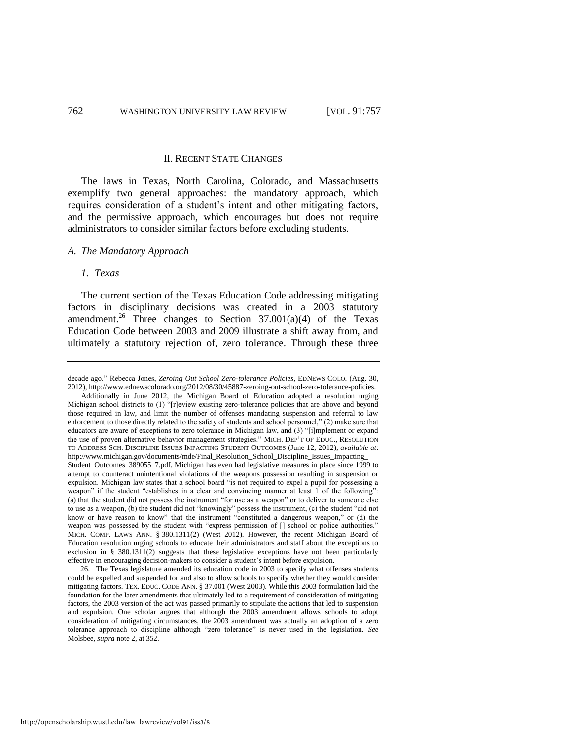#### II. RECENT STATE CHANGES

The laws in Texas, North Carolina, Colorado, and Massachusetts exemplify two general approaches: the mandatory approach, which requires consideration of a student's intent and other mitigating factors, and the permissive approach, which encourages but does not require administrators to consider similar factors before excluding students.

#### *A. The Mandatory Approach*

#### *1. Texas*

The current section of the Texas Education Code addressing mitigating factors in disciplinary decisions was created in a 2003 statutory amendment.<sup>26</sup> Three changes to Section  $37.001(a)(4)$  of the Texas Education Code between 2003 and 2009 illustrate a shift away from, and ultimately a statutory rejection of, zero tolerance. Through these three

decade ago." Rebecca Jones, *Zeroing Out School Zero-tolerance Policies*, EDNEWS COLO. (Aug. 30, 2012)[, http://www.ednewscolorado.org/2012/08/30/45887-zeroing-out-school-zero-tolerance-policies.](http://www.ednewscolorado.org/2012/08/30/45887-zeroing-out-school-zero-tolerance-policies)  Additionally in June 2012, the Michigan Board of Education adopted a resolution urging Michigan school districts to (1) "[r]eview existing zero-tolerance policies that are above and beyond those required in law, and limit the number of offenses mandating suspension and referral to law enforcement to those directly related to the safety of students and school personnel," (2) make sure that educators are aware of exceptions to zero tolerance in Michigan law, and (3) "[i]mplement or expand the use of proven alternative behavior management strategies." MICH. DEP'T OF EDUC., RESOLUTION TO ADDRESS SCH. DISCIPLINE ISSUES IMPACTING STUDENT OUTCOMES (June 12, 2012), *available at*: http://www.michigan.gov/documents/mde/Final\_Resolution\_School\_Discipline\_Issues\_Impacting\_ Student\_Outcomes\_389055\_7.pdf. Michigan has even had legislative measures in place since 1999 to attempt to counteract unintentional violations of the weapons possession resulting in suspension or expulsion. Michigan law states that a school board "is not required to expel a pupil for possessing a weapon" if the student "establishes in a clear and convincing manner at least 1 of the following": (a) that the student did not possess the instrument "for use as a weapon" or to deliver to someone else to use as a weapon, (b) the student did not "knowingly" possess the instrument, (c) the student "did not know or have reason to know" that the instrument "constituted a dangerous weapon," or (d) the weapon was possessed by the student with "express permission of [] school or police authorities." MICH. COMP. LAWS ANN. § 380.1311(2) (West 2012). However, the recent Michigan Board of Education resolution urging schools to educate their administrators and staff about the exceptions to exclusion in § 380.1311(2) suggests that these legislative exceptions have not been particularly effective in encouraging decision-makers to consider a student's intent before expulsion.

<sup>26.</sup> The Texas legislature amended its education code in 2003 to specify what offenses students could be expelled and suspended for and also to allow schools to specify whether they would consider mitigating factors. TEX. EDUC. CODE ANN. § 37.001 (West 2003). While this 2003 formulation laid the foundation for the later amendments that ultimately led to a requirement of consideration of mitigating factors, the 2003 version of the act was passed primarily to stipulate the actions that led to suspension and expulsion. One scholar argues that although the 2003 amendment allows schools to adopt consideration of mitigating circumstances, the 2003 amendment was actually an adoption of a zero tolerance approach to discipline although "zero tolerance" is never used in the legislation. *See*  Molsbee, *supra* not[e 2,](#page-1-0) at 352.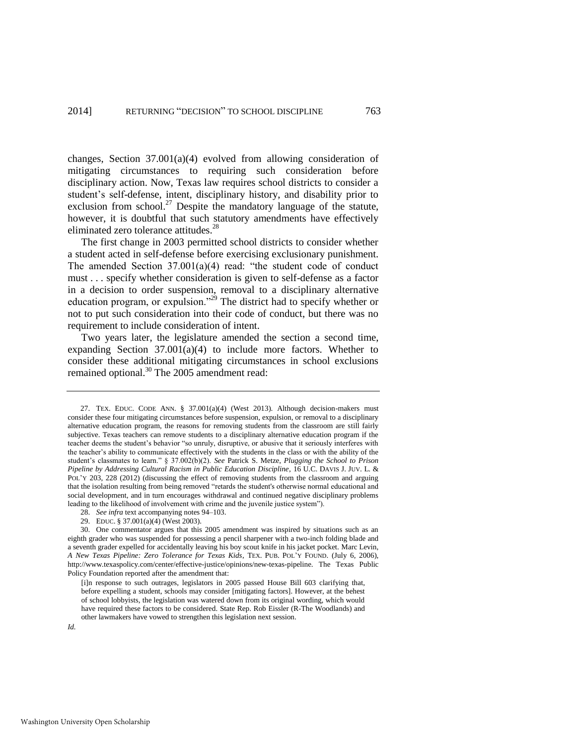changes, Section 37.001(a)(4) evolved from allowing consideration of mitigating circumstances to requiring such consideration before disciplinary action. Now, Texas law requires school districts to consider a student's self-defense, intent, disciplinary history, and disability prior to exclusion from school.<sup>27</sup> Despite the mandatory language of the statute, however, it is doubtful that such statutory amendments have effectively eliminated zero tolerance attitudes.<sup>28</sup>

The first change in 2003 permitted school districts to consider whether a student acted in self-defense before exercising exclusionary punishment. The amended Section 37.001(a)(4) read: "the student code of conduct must . . . specify whether consideration is given to self-defense as a factor in a decision to order suspension, removal to a disciplinary alternative education program, or expulsion."<sup>29</sup> The district had to specify whether or not to put such consideration into their code of conduct, but there was no requirement to include consideration of intent.

Two years later, the legislature amended the section a second time, expanding Section 37.001(a)(4) to include more factors. Whether to consider these additional mitigating circumstances in school exclusions remained optional.<sup>30</sup> The 2005 amendment read:

<sup>27.</sup> TEX. EDUC. CODE ANN. § 37.001(a)(4) (West 2013). Although decision-makers must consider these four mitigating circumstances before suspension, expulsion, or removal to a disciplinary alternative education program, the reasons for removing students from the classroom are still fairly subjective. Texas teachers can remove students to a disciplinary alternative education program if the teacher deems the student's behavior "so unruly, disruptive, or abusive that it seriously interferes with the teacher's ability to communicate effectively with the students in the class or with the ability of the student's classmates to learn." § 37.002(b)(2). *See* Patrick S. Metze, *Plugging the School to Prison Pipeline by Addressing Cultural Racism in Public Education Discipline*, 16 U.C. DAVIS J. JUV. L. & POL'Y 203, 228 (2012) (discussing the effect of removing students from the classroom and arguing that the isolation resulting from being removed "retards the student's otherwise normal educational and social development, and in turn encourages withdrawal and continued negative disciplinary problems leading to the likelihood of involvement with crime and the juvenile justice system").

<sup>28.</sup> *See infra* text accompanying note[s 94](#page-21-0)[–103.](#page-23-0) 

<sup>29.</sup> EDUC. § 37.001(a)(4) (West 2003).

<sup>30.</sup> One commentator argues that this 2005 amendment was inspired by situations such as an eighth grader who was suspended for possessing a pencil sharpener with a two-inch folding blade and a seventh grader expelled for accidentally leaving his boy scout knife in his jacket pocket. Marc Levin, *A New Texas Pipeline: Zero Tolerance for Texas Kids*, TEX. PUB. POL'Y FOUND. (July 6, 2006), http://www.texaspolicy.com/center/effective-justice/opinions/new-texas-pipeline. The Texas Public Policy Foundation reported after the amendment that:

<sup>[</sup>i]n response to such outrages, legislators in 2005 passed House Bill 603 clarifying that, before expelling a student, schools may consider [mitigating factors]. However, at the behest of school lobbyists, the legislation was watered down from its original wording, which would have required these factors to be considered. State Rep. Rob Eissler (R-The Woodlands) and other lawmakers have vowed to strengthen this legislation next session.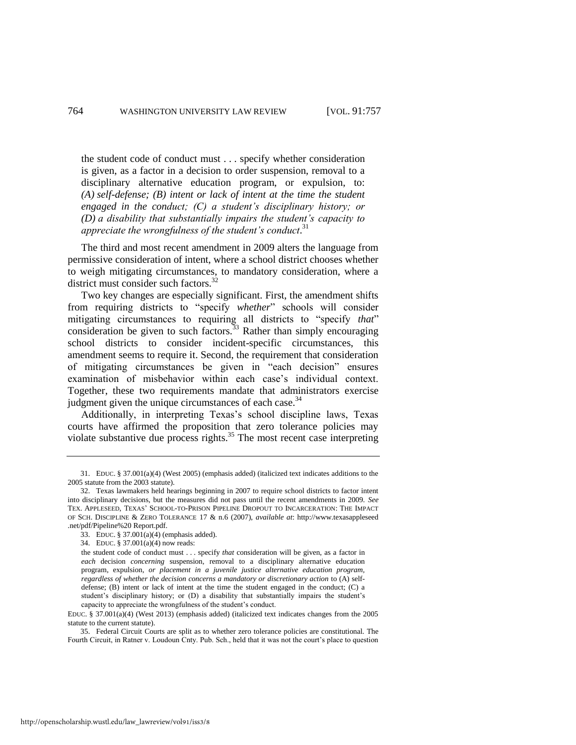the student code of conduct must . . . specify whether consideration is given, as a factor in a decision to order suspension, removal to a disciplinary alternative education program, or expulsion, to: *(A) self-defense; (B) intent or lack of intent at the time the student engaged in the conduct; (C) a student's disciplinary history; or (D) a disability that substantially impairs the student's capacity to appreciate the wrongfulness of the student's conduct*. 31

The third and most recent amendment in 2009 alters the language from permissive consideration of intent, where a school district chooses whether to weigh mitigating circumstances, to mandatory consideration, where a district must consider such factors.<sup>32</sup>

Two key changes are especially significant. First, the amendment shifts from requiring districts to "specify *whether*" schools will consider mitigating circumstances to requiring all districts to "specify *that*" consideration be given to such factors.<sup>33</sup> Rather than simply encouraging school districts to consider incident-specific circumstances, this amendment seems to require it. Second, the requirement that consideration of mitigating circumstances be given in "each decision" ensures examination of misbehavior within each case's individual context. Together, these two requirements mandate that administrators exercise judgment given the unique circumstances of each case. $34$ 

Additionally, in interpreting Texas's school discipline laws, Texas courts have affirmed the proposition that zero tolerance policies may violate substantive due process rights.<sup>35</sup> The most recent case interpreting

<sup>31.</sup> EDUC. § 37.001(a)(4) (West 2005) (emphasis added) (italicized text indicates additions to the 2005 statute from the 2003 statute).

<sup>32.</sup> Texas lawmakers held hearings beginning in 2007 to require school districts to factor intent into disciplinary decisions, but the measures did not pass until the recent amendments in 2009. *See*  TEX. APPLESEED, TEXAS' SCHOOL-TO-PRISON PIPELINE DROPOUT TO INCARCERATION: THE IMPACT OF SCH. DISCIPLINE & ZERO TOLERANCE 17 & n.6 (2007), *available at*: http://www.texasappleseed .net/pdf/Pipeline%20 Report.pdf.

<sup>33.</sup> EDUC. § 37.001(a)(4) (emphasis added).

<sup>34.</sup> EDUC. § 37.001(a)(4) now reads:

the student code of conduct must . . . specify *that* consideration will be given, as a factor in *each* decision *concerning* suspension, removal to a disciplinary alternative education program, expulsion, *or placement in a juvenile justice alternative education program, regardless of whether the decision concerns a mandatory or discretionary action* to (A) selfdefense; (B) intent or lack of intent at the time the student engaged in the conduct; (C) a student's disciplinary history; or (D) a disability that substantially impairs the student's capacity to appreciate the wrongfulness of the student's conduct.

EDUC. § 37.001(a)(4) (West 2013) (emphasis added) (italicized text indicates changes from the 2005 statute to the current statute).

<sup>35.</sup> Federal Circuit Courts are split as to whether zero tolerance policies are constitutional. The Fourth Circuit, in Ratner v. Loudoun Cnty. Pub. Sch., held that it was not the court's place to question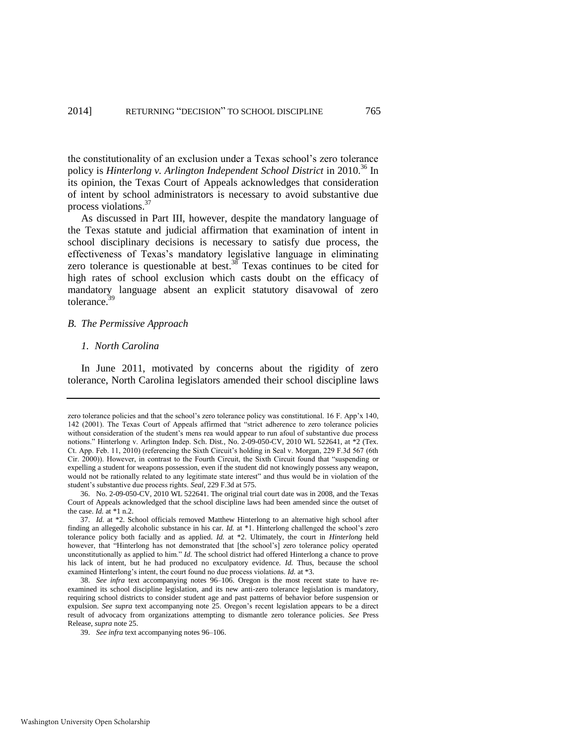the constitutionality of an exclusion under a Texas school's zero tolerance policy is *Hinterlong v. Arlington Independent School District* in 2010.<sup>36</sup> In its opinion, the Texas Court of Appeals acknowledges that consideration of intent by school administrators is necessary to avoid substantive due process violations.<sup>37</sup>

As discussed in Part III, however, despite the mandatory language of the Texas statute and judicial affirmation that examination of intent in school disciplinary decisions is necessary to satisfy due process, the effectiveness of Texas's mandatory legislative language in eliminating zero tolerance is questionable at best. $38$  Texas continues to be cited for high rates of school exclusion which casts doubt on the efficacy of mandatory language absent an explicit statutory disavowal of zero tolerance.<sup>39</sup>

#### *B. The Permissive Approach*

#### *1. North Carolina*

In June 2011, motivated by concerns about the rigidity of zero tolerance, North Carolina legislators amended their school discipline laws

zero tolerance policies and that the school's zero tolerance policy was constitutional. 16 F. App'x 140, 142 (2001). The Texas Court of Appeals affirmed that "strict adherence to zero tolerance policies without consideration of the student's mens rea would appear to run afoul of substantive due process notions." Hinterlong v. Arlington Indep. Sch. Dist*.*, No. 2-09-050-CV, 2010 WL 522641, at \*2 (Tex. Ct. App. Feb. 11, 2010) (referencing the Sixth Circuit's holding in Seal v. Morgan, 229 F.3d 567 (6th Cir. 2000)). However, in contrast to the Fourth Circuit, the Sixth Circuit found that "suspending or expelling a student for weapons possession, even if the student did not knowingly possess any weapon, would not be rationally related to any legitimate state interest" and thus would be in violation of the student's substantive due process rights. *Seal*, 229 F.3d at 575.

<sup>36.</sup> No. 2-09-050-CV, 2010 WL 522641. The original trial court date was in 2008, and the Texas Court of Appeals acknowledged that the school discipline laws had been amended since the outset of the case. *Id.* at \*1 n.2.

<sup>37.</sup> *Id.* at \*2. School officials removed Matthew Hinterlong to an alternative high school after finding an allegedly alcoholic substance in his car. *Id.* at \*1. Hinterlong challenged the school's zero tolerance policy both facially and as applied. *Id.* at \*2. Ultimately, the court in *Hinterlong* held however, that "Hinterlong has not demonstrated that [the school's] zero tolerance policy operated unconstitutionally as applied to him." *Id.* The school district had offered Hinterlong a chance to prove his lack of intent, but he had produced no exculpatory evidence. *Id.* Thus, because the school examined Hinterlong's intent, the court found no due process violations. *Id.* at \*3.

<sup>38.</sup> *See infra* text accompanying notes [96–](#page-22-0)[106.](#page-24-0) Oregon is the most recent state to have reexamined its school discipline legislation, and its new anti-zero tolerance legislation is mandatory, requiring school districts to consider student age and past patterns of behavior before suspension or expulsion. *See supra* text accompanying note [25.](#page-5-0) Oregon's recent legislation appears to be a direct result of advocacy from organizations attempting to dismantle zero tolerance policies. *See* Press Release, *supra* note [25.](#page-5-0) 

<sup>39.</sup> *See infra* text accompanying note[s 96](#page-22-0)[–106.](#page-24-0)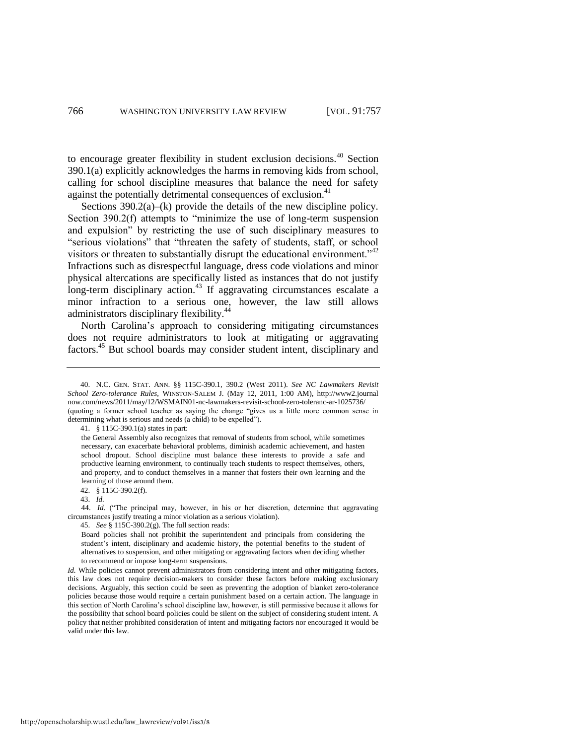to encourage greater flexibility in student exclusion decisions.<sup>40</sup> Section 390.1(a) explicitly acknowledges the harms in removing kids from school, calling for school discipline measures that balance the need for safety against the potentially detrimental consequences of exclusion.<sup>41</sup>

<span id="page-10-0"></span>Sections 390.2(a)–(k) provide the details of the new discipline policy. Section 390.2(f) attempts to "minimize the use of long-term suspension and expulsion" by restricting the use of such disciplinary measures to "serious violations" that "threaten the safety of students, staff, or school visitors or threaten to substantially disrupt the educational environment."<sup>42</sup> Infractions such as disrespectful language, dress code violations and minor physical altercations are specifically listed as instances that do not justify long-term disciplinary action.<sup>43</sup> If aggravating circumstances escalate a minor infraction to a serious one, however, the law still allows administrators disciplinary flexibility.<sup>44</sup>

North Carolina's approach to considering mitigating circumstances does not require administrators to look at mitigating or aggravating factors.<sup>45</sup> But school boards may consider student intent, disciplinary and

41. § 115C-390.1(a) states in part:

the General Assembly also recognizes that removal of students from school, while sometimes necessary, can exacerbate behavioral problems, diminish academic achievement, and hasten school dropout. School discipline must balance these interests to provide a safe and productive learning environment, to continually teach students to respect themselves, others, and property, and to conduct themselves in a manner that fosters their own learning and the learning of those around them.

42. § 115C-390.2(f).

43. *Id.*

44. *Id.* ("The principal may, however, in his or her discretion, determine that aggravating circumstances justify treating a minor violation as a serious violation).

45. *See* § 115C-390.2(g). The full section reads:

Board policies shall not prohibit the superintendent and principals from considering the student's intent, disciplinary and academic history, the potential benefits to the student of alternatives to suspension, and other mitigating or aggravating factors when deciding whether to recommend or impose long-term suspensions.

*Id.* While policies cannot prevent administrators from considering intent and other mitigating factors, this law does not require decision-makers to consider these factors before making exclusionary decisions. Arguably, this section could be seen as preventing the adoption of blanket zero-tolerance policies because those would require a certain punishment based on a certain action. The language in this section of North Carolina's school discipline law, however, is still permissive because it allows for the possibility that school board policies could be silent on the subject of considering student intent. A policy that neither prohibited consideration of intent and mitigating factors nor encouraged it would be valid under this law.

<sup>40.</sup> N.C. GEN. STAT. ANN. §§ 115C-390.1, 390.2 (West 2011). *See NC Lawmakers Revisit School Zero-tolerance Rules*, WINSTON-SALEM J. (May 12, 2011, 1:00 AM), http://www2.journal now.com/news/2011/may/12/WSMAIN01-nc-lawmakers-revisit-school-zero-toleranc-ar-1025736/ (quoting a former school teacher as saying the change "gives us a little more common sense in determining what is serious and needs (a child) to be expelled").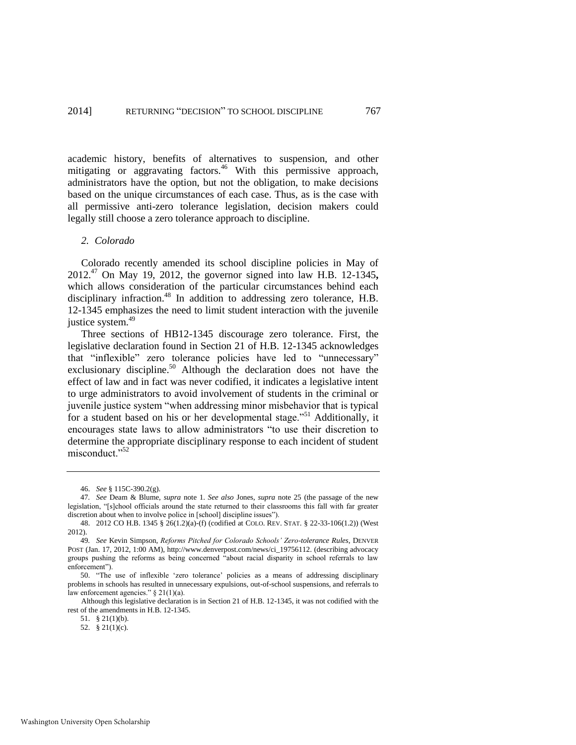academic history, benefits of alternatives to suspension, and other mitigating or aggravating factors.<sup>46</sup> With this permissive approach, administrators have the option, but not the obligation, to make decisions based on the unique circumstances of each case. Thus, as is the case with all permissive anti-zero tolerance legislation, decision makers could legally still choose a zero tolerance approach to discipline.

#### *2. Colorado*

Colorado recently amended its school discipline policies in May of 2012.<sup>47</sup> On May 19, 2012, the governor signed into law H.B. 12-1345**,** which allows consideration of the particular circumstances behind each disciplinary infraction.<sup>48</sup> In addition to addressing zero tolerance, H.B. 12-1345 emphasizes the need to limit student interaction with the juvenile justice system.<sup>49</sup>

<span id="page-11-0"></span>Three sections of HB12-1345 discourage zero tolerance. First, the legislative declaration found in Section 21 of H.B. 12-1345 acknowledges that "inflexible" zero tolerance policies have led to "unnecessary" exclusionary discipline.<sup>50</sup> Although the declaration does not have the effect of law and in fact was never codified, it indicates a legislative intent to urge administrators to avoid involvement of students in the criminal or juvenile justice system "when addressing minor misbehavior that is typical for a student based on his or her developmental stage."<sup>51</sup> Additionally, it encourages state laws to allow administrators "to use their discretion to determine the appropriate disciplinary response to each incident of student misconduct."<sup>52</sup>

<sup>46.</sup> *See* § 115C-390.2(g).

<sup>47</sup>*. See* Deam & Blume, *supra* note [1.](#page-1-2) *See also* Jones, *supra* note [25](#page-5-0) (the passage of the new legislation, "[s]chool officials around the state returned to their classrooms this fall with far greater discretion about when to involve police in [school] discipline issues").

<sup>48. 2012</sup> CO H.B. 1345 § 26(1.2)(a)-(f) (codified at COLO. REV. STAT. § 22-33-106(1.2)) (West 2012).

<sup>49</sup>*. See* Kevin Simpson, *Reforms Pitched for Colorado Schools' Zero-tolerance Rules*, DENVER POST (Jan. 17, 2012, 1:00 AM), http://www.denverpost.com/news/ci\_19756112. (describing advocacy groups pushing the reforms as being concerned "about racial disparity in school referrals to law enforcement").

<sup>50. &</sup>quot;The use of inflexible 'zero tolerance' policies as a means of addressing disciplinary problems in schools has resulted in unnecessary expulsions, out-of-school suspensions, and referrals to law enforcement agencies." § 21(1)(a).

Although this legislative declaration is in Section 21 of H.B. 12-1345, it was not codified with the rest of the amendments in H.B. 12-1345.

<sup>51. § 21(1)(</sup>b).

<sup>52. § 21(1)(</sup>c).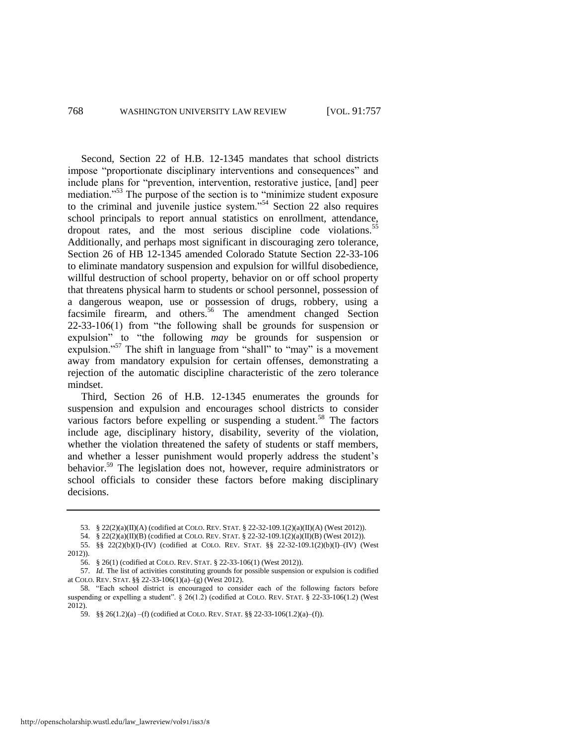Second, Section 22 of H.B. 12-1345 mandates that school districts impose "proportionate disciplinary interventions and consequences" and include plans for "prevention, intervention, restorative justice, [and] peer mediation."<sup>53</sup> The purpose of the section is to "minimize student exposure to the criminal and juvenile justice system."<sup>54</sup> Section 22 also requires school principals to report annual statistics on enrollment, attendance, dropout rates, and the most serious discipline code violations.<sup>55</sup> Additionally, and perhaps most significant in discouraging zero tolerance, Section 26 of HB 12-1345 amended Colorado Statute Section 22-33-106 to eliminate mandatory suspension and expulsion for willful disobedience, willful destruction of school property, behavior on or off school property that threatens physical harm to students or school personnel, possession of a dangerous weapon, use or possession of drugs, robbery, using a facsimile firearm, and others.<sup>56</sup> The amendment changed Section 22-33-106(1) from "the following shall be grounds for suspension or expulsion" to "the following *may* be grounds for suspension or expulsion."<sup>57</sup> The shift in language from "shall" to "may" is a movement away from mandatory expulsion for certain offenses, demonstrating a rejection of the automatic discipline characteristic of the zero tolerance mindset.

Third, Section 26 of H.B. 12-1345 enumerates the grounds for suspension and expulsion and encourages school districts to consider various factors before expelling or suspending a student.<sup>58</sup> The factors include age, disciplinary history, disability, severity of the violation, whether the violation threatened the safety of students or staff members, and whether a lesser punishment would properly address the student's behavior.<sup>59</sup> The legislation does not, however, require administrators or school officials to consider these factors before making disciplinary decisions.

<sup>53. § 22(2)(</sup>a)(II)(A) (codified at COLO. REV. STAT. § 22-32-109.1(2)(a)(II)(A) (West 2012)).

<sup>54. § 22(2)(</sup>a)(II)(B) (codified at COLO. REV. STAT. § 22-32-109.1(2)(a)(II)(B) (West 2012)).

<sup>55. §§ 22(2)(</sup>b)(I)-(IV) (codified at COLO. REV. STAT. §§ 22-32-109.1(2)(b)(I)–(IV) (West 2012)).

<sup>56. § 26(1) (</sup>codified at COLO. REV. STAT. § 22-33-106(1) (West 2012)).

<sup>57.</sup> *Id.* The list of activities constituting grounds for possible suspension or expulsion is codified at COLO. REV. STAT. §§ 22-33-106(1)(a)–(g) (West 2012).

<sup>58</sup>*.* "Each school district is encouraged to consider each of the following factors before suspending or expelling a student". § 26(1.2) (codified at COLO. REV. STAT. § 22-33-106(1.2) (West 2012).

<sup>59. §§ 26(1.2)(</sup>a) –(f) (codified at COLO. REV. STAT. §§ 22-33-106(1.2)(a)–(f)).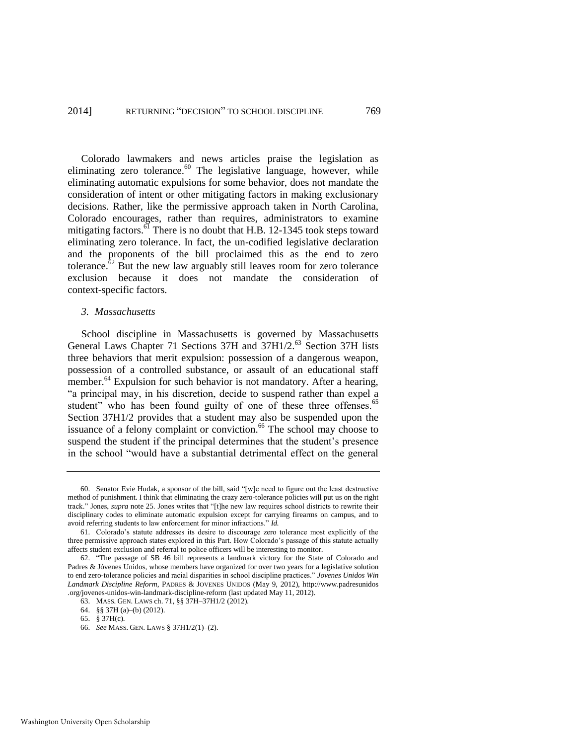Colorado lawmakers and news articles praise the legislation as eliminating zero tolerance. $60$  The legislative language, however, while eliminating automatic expulsions for some behavior, does not mandate the consideration of intent or other mitigating factors in making exclusionary decisions. Rather, like the permissive approach taken in North Carolina, Colorado encourages, rather than requires, administrators to examine mitigating factors. $\overline{61}$  There is no doubt that H.B. 12-1345 took steps toward eliminating zero tolerance. In fact, the un-codified legislative declaration and the proponents of the bill proclaimed this as the end to zero tolerance. ${}^{62}$  But the new law arguably still leaves room for zero tolerance exclusion because it does not mandate the consideration of context-specific factors.

#### *3. Massachusetts*

School discipline in Massachusetts is governed by Massachusetts General Laws Chapter 71 Sections 37H and 37H1/2.<sup>63</sup> Section 37H lists three behaviors that merit expulsion: possession of a dangerous weapon, possession of a controlled substance, or assault of an educational staff member.<sup>64</sup> Expulsion for such behavior is not mandatory. After a hearing, "a principal may, in his discretion, decide to suspend rather than expel a student" who has been found guilty of one of these three offenses.<sup>65</sup> Section 37H1/2 provides that a student may also be suspended upon the issuance of a felony complaint or conviction.<sup>66</sup> The school may choose to suspend the student if the principal determines that the student's presence in the school "would have a substantial detrimental effect on the general

<sup>60.</sup> Senator Evie Hudak, a sponsor of the bill, said "[w]e need to figure out the least destructive method of punishment. I think that eliminating the crazy zero-tolerance policies will put us on the right track." Jones, *supra* note [25.](#page-5-0) Jones writes that "[t]he new law requires school districts to rewrite their disciplinary codes to eliminate automatic expulsion except for carrying firearms on campus, and to avoid referring students to law enforcement for minor infractions." *Id.*

<sup>61.</sup> Colorado's statute addresses its desire to discourage zero tolerance most explicitly of the three permissive approach states explored in this Part. How Colorado's passage of this statute actually affects student exclusion and referral to police officers will be interesting to monitor.

<sup>62.</sup> "The passage of SB 46 bill represents a landmark victory for the State of Colorado and Padres & Jóvenes Unidos, whose members have organized for over two years for a legislative solution to end zero-tolerance policies and racial disparities in school discipline practices." *Jovenes Unidos Win Landmark Discipline Reform*, PADRES & JOVENES UNIDOS (May 9, 2012), http://www.padresunidos .org/jovenes-unidos-win-landmark-discipline-reform (last updated May 11, 2012).

<sup>63.</sup> MASS. GEN. LAWS ch. 71, §§ 37H–37H1/2 (2012).

<sup>64. §§ 37</sup>H (a)–(b) (2012).

<sup>65. § 37</sup>H(c).

<sup>66.</sup> *See* MASS. GEN. LAWS § 37H1/2(1)–(2).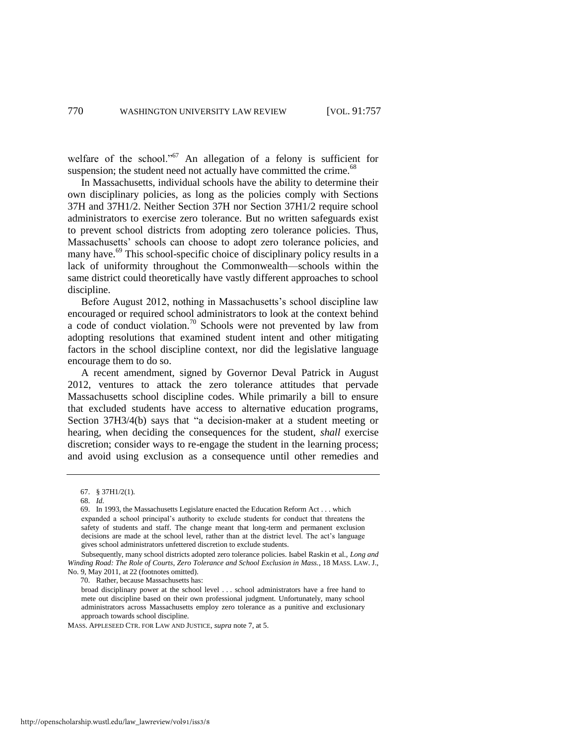welfare of the school."<sup>67</sup> An allegation of a felony is sufficient for suspension; the student need not actually have committed the crime.<sup>68</sup>

In Massachusetts, individual schools have the ability to determine their own disciplinary policies, as long as the policies comply with Sections 37H and 37H1/2. Neither Section 37H nor Section 37H1/2 require school administrators to exercise zero tolerance. But no written safeguards exist to prevent school districts from adopting zero tolerance policies. Thus, Massachusetts' schools can choose to adopt zero tolerance policies, and many have.<sup>69</sup> This school-specific choice of disciplinary policy results in a lack of uniformity throughout the Commonwealth—schools within the same district could theoretically have vastly different approaches to school discipline.

<span id="page-14-0"></span>Before August 2012, nothing in Massachusetts's school discipline law encouraged or required school administrators to look at the context behind a code of conduct violation.<sup>70</sup> Schools were not prevented by law from adopting resolutions that examined student intent and other mitigating factors in the school discipline context, nor did the legislative language encourage them to do so.

A recent amendment, signed by Governor Deval Patrick in August 2012, ventures to attack the zero tolerance attitudes that pervade Massachusetts school discipline codes. While primarily a bill to ensure that excluded students have access to alternative education programs, Section 37H3/4(b) says that "a decision-maker at a student meeting or hearing, when deciding the consequences for the student, *shall* exercise discretion; consider ways to re-engage the student in the learning process; and avoid using exclusion as a consequence until other remedies and

70. Rather, because Massachusetts has:

<sup>67. § 37</sup>H1/2(1).

<sup>68.</sup> *Id.*

<sup>69.</sup> In 1993, the Massachusetts Legislature enacted the Education Reform Act . . . which expanded a school principal's authority to exclude students for conduct that threatens the safety of students and staff. The change meant that long-term and permanent exclusion decisions are made at the school level, rather than at the district level. The act's language gives school administrators unfettered discretion to exclude students.

Subsequently, many school districts adopted zero tolerance policies. Isabel Raskin et al., *Long and Winding Road: The Role of Courts, Zero Tolerance and School Exclusion in Mass.*, 18 MASS. LAW. J., No. 9, May 2011, at 22 (footnotes omitted).

broad disciplinary power at the school level . . . school administrators have a free hand to mete out discipline based on their own professional judgment. Unfortunately, many school administrators across Massachusetts employ zero tolerance as a punitive and exclusionary approach towards school discipline.

MASS. APPLESEED CTR. FOR LAW AND JUSTICE, *supra* not[e 7,](#page-2-2) at 5.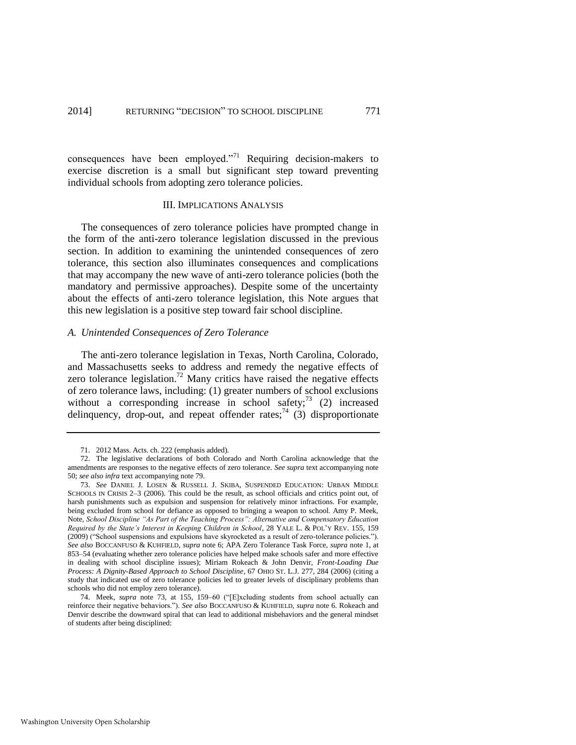consequences have been employed."<sup>71</sup> Requiring decision-makers to exercise discretion is a small but significant step toward preventing individual schools from adopting zero tolerance policies.

#### III. IMPLICATIONS ANALYSIS

The consequences of zero tolerance policies have prompted change in the form of the anti-zero tolerance legislation discussed in the previous section. In addition to examining the unintended consequences of zero tolerance, this section also illuminates consequences and complications that may accompany the new wave of anti-zero tolerance policies (both the mandatory and permissive approaches). Despite some of the uncertainty about the effects of anti-zero tolerance legislation, this Note argues that this new legislation is a positive step toward fair school discipline.

#### *A. Unintended Consequences of Zero Tolerance*

The anti-zero tolerance legislation in Texas, North Carolina, Colorado, and Massachusetts seeks to address and remedy the negative effects of zero tolerance legislation.<sup>72</sup> Many critics have raised the negative effects of zero tolerance laws, including: (1) greater numbers of school exclusions without a corresponding increase in school safety;  $(2)$  increased delinquency, drop-out, and repeat offender rates;  $(3)$  disproportionate

<span id="page-15-1"></span><span id="page-15-0"></span><sup>71. 2012</sup> Mass. Acts. ch. 222 (emphasis added).

<sup>72.</sup> The legislative declarations of both Colorado and North Carolina acknowledge that the amendments are responses to the negative effects of zero tolerance. *See supra* text accompanying note [50;](#page-11-0) *see also infra* text accompanying note [79.](#page-16-0) 

<sup>73.</sup> *See* DANIEL J. LOSEN & RUSSELL J. SKIBA, SUSPENDED EDUCATION: URBAN MIDDLE SCHOOLS IN CRISIS 2–3 (2006). This could be the result, as school officials and critics point out, of harsh punishments such as expulsion and suspension for relatively minor infractions. For example, being excluded from school for defiance as opposed to bringing a weapon to school. Amy P. Meek, Note, *School Discipline "As Part of the Teaching Process": Alternative and Compensatory Education Required by the State's Interest in Keeping Children in School*, 28 YALE L. & POL'Y REV. 155, 159 (2009) ("School suspensions and expulsions have skyrocketed as a result of zero-tolerance policies."). *See also* BOCCANFUSO & KUHFIELD, *supra* not[e 6;](#page-1-1) APA Zero Tolerance Task Force, *supra* note [1,](#page-1-2) at 853–54 (evaluating whether zero tolerance policies have helped make schools safer and more effective in dealing with school discipline issues); Miriam Rokeach & John Denvir, *Front-Loading Due Process: A Dignity-Based Approach to School Discipline*, 67 OHIO ST. L.J. 277, 284 (2006) (citing a study that indicated use of zero tolerance policies led to greater levels of disciplinary problems than schools who did not employ zero tolerance).

<sup>74.</sup> Meek, *supra* note [73,](#page-15-0) at 155, 159–60 ("[E]xcluding students from school actually can reinforce their negative behaviors."). *See also* BOCCANFUSO & KUHFIELD, *supra* not[e 6.](#page-1-1) Rokeach and Denvir describe the downward spiral that can lead to additional misbehaviors and the general mindset of students after being disciplined: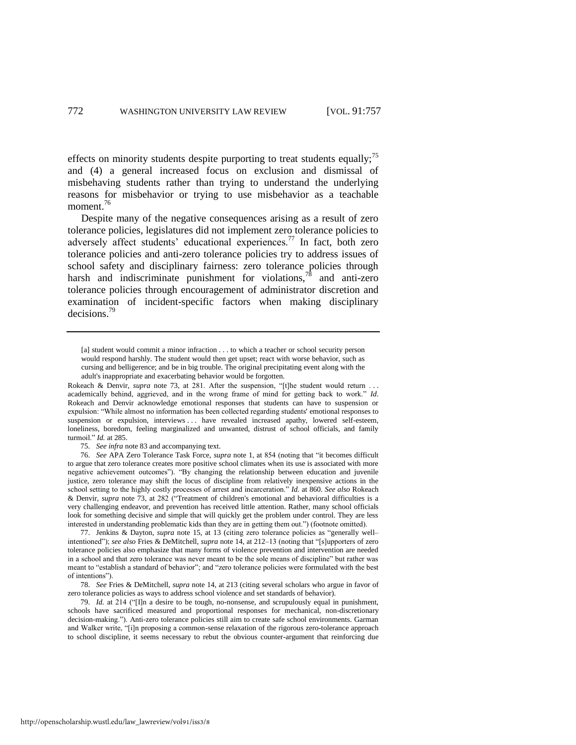effects on minority students despite purporting to treat students equally; $\frac{75}{5}$ and (4) a general increased focus on exclusion and dismissal of misbehaving students rather than trying to understand the underlying reasons for misbehavior or trying to use misbehavior as a teachable moment.<sup>76</sup>

Despite many of the negative consequences arising as a result of zero tolerance policies, legislatures did not implement zero tolerance policies to adversely affect students' educational experiences.<sup>77</sup> In fact, both zero tolerance policies and anti-zero tolerance policies try to address issues of school safety and disciplinary fairness: zero tolerance policies through harsh and indiscriminate punishment for violations,<sup>78</sup> and anti-zero tolerance policies through encouragement of administrator discretion and examination of incident-specific factors when making disciplinary decisions.<sup>79</sup>

<span id="page-16-0"></span><sup>[</sup>a] student would commit a minor infraction . . . to which a teacher or school security person would respond harshly. The student would then get upset; react with worse behavior, such as cursing and belligerence; and be in big trouble. The original precipitating event along with the adult's inappropriate and exacerbating behavior would be forgotten.

Rokeach & Denvir, *supra* note [73,](#page-15-0) at 281. After the suspension, "[t]he student would return . academically behind, aggrieved, and in the wrong frame of mind for getting back to work." *Id*. Rokeach and Denvir acknowledge emotional responses that students can have to suspension or expulsion: "While almost no information has been collected regarding students' emotional responses to suspension or expulsion, interviews . . . have revealed increased apathy, lowered self-esteem, loneliness, boredom, feeling marginalized and unwanted, distrust of school officials, and family turmoil." *Id.* at 285.

<sup>75.</sup> *See infra* not[e 83 a](#page-17-0)nd accompanying text.

<sup>76.</sup> *See* APA Zero Tolerance Task Force, *supra* note [1,](#page-1-2) at 854 (noting that "it becomes difficult to argue that zero tolerance creates more positive school climates when its use is associated with more negative achievement outcomes"). "By changing the relationship between education and juvenile justice, zero tolerance may shift the locus of discipline from relatively inexpensive actions in the school setting to the highly costly processes of arrest and incarceration." *Id.* at 860. *See also* Rokeach & Denvir, *supra* note [73,](#page-15-0) at 282 ("Treatment of children's emotional and behavioral difficulties is a very challenging endeavor, and prevention has received little attention. Rather, many school officials look for something decisive and simple that will quickly get the problem under control. They are less interested in understanding problematic kids than they are in getting them out.") (footnote omitted).

<sup>77.</sup> Jenkins & Dayton, *supra* note [15,](#page-4-0) at 13 (citing zero tolerance policies as "generally well– intentioned"); *see also* Fries & DeMitchell, *supra* note [14,](#page-3-1) at 212–13 (noting that "[s]upporters of zero tolerance policies also emphasize that many forms of violence prevention and intervention are needed in a school and that zero tolerance was never meant to be the sole means of discipline" but rather was meant to "establish a standard of behavior"; and "zero tolerance policies were formulated with the best of intentions").

<sup>78.</sup> *See* Fries & DeMitchell, *supra* note [14,](#page-3-1) at 213 (citing several scholars who argue in favor of zero tolerance policies as ways to address school violence and set standards of behavior).

<sup>79.</sup> *Id.* at 214 ("[I]n a desire to be tough, no-nonsense, and scrupulously equal in punishment, schools have sacrificed measured and proportional responses for mechanical, non-discretionary decision-making."). Anti-zero tolerance policies still aim to create safe school environments. Garman and Walker write, "[i]n proposing a common-sense relaxation of the rigorous zero-tolerance approach to school discipline, it seems necessary to rebut the obvious counter-argument that reinforcing due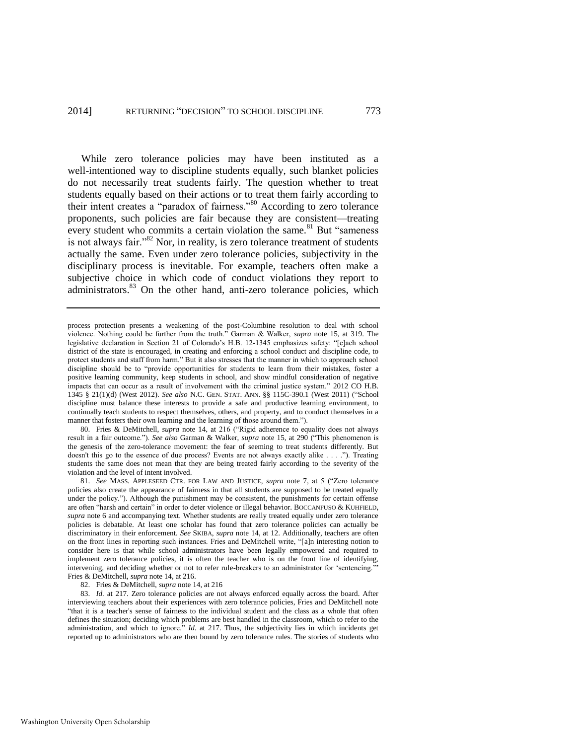<span id="page-17-1"></span>While zero tolerance policies may have been instituted as a well-intentioned way to discipline students equally, such blanket policies do not necessarily treat students fairly. The question whether to treat students equally based on their actions or to treat them fairly according to their intent creates a "paradox of fairness."<sup>80</sup> According to zero tolerance proponents, such policies are fair because they are consistent—treating every student who commits a certain violation the same.<sup>81</sup> But "sameness" is not always fair."<sup>82</sup> Nor, in reality, is zero tolerance treatment of students actually the same. Even under zero tolerance policies, subjectivity in the disciplinary process is inevitable. For example, teachers often make a subjective choice in which code of conduct violations they report to administrators.<sup>83</sup> On the other hand, anti-zero tolerance policies, which

80. Fries & DeMitchell, *supra* note [14,](#page-3-1) at 216 ("Rigid adherence to equality does not always result in a fair outcome."). *See also* Garman & Walker, *supra* note [15,](#page-4-0) at 290 ("This phenomenon is the genesis of the zero-tolerance movement: the fear of seeming to treat students differently. But doesn't this go to the essence of due process? Events are not always exactly alike . . . ."). Treating students the same does not mean that they are being treated fairly according to the severity of the violation and the level of intent involved.

81. *See* MASS. APPLESEED CTR. FOR LAW AND JUSTICE, *supra* note [7,](#page-2-2) at 5 ("Zero tolerance policies also create the appearance of fairness in that all students are supposed to be treated equally under the policy."). Although the punishment may be consistent, the punishments for certain offense are often "harsh and certain" in order to deter violence or illegal behavior. BOCCANFUSO & KUHFIELD, *supra* note [6](#page-1-1) and accompanying text. Whether students are really treated equally under zero tolerance policies is debatable. At least one scholar has found that zero tolerance policies can actually be discriminatory in their enforcement. *See* SKIBA, *supra* note [14,](#page-3-1) at 12. Additionally, teachers are often on the front lines in reporting such instances. Fries and DeMitchell write, "[a]n interesting notion to consider here is that while school administrators have been legally empowered and required to implement zero tolerance policies, it is often the teacher who is on the front line of identifying, intervening, and deciding whether or not to refer rule-breakers to an administrator for 'sentencing. Fries & DeMitchell, *supra* not[e 14,](#page-3-1) at 216.

82. Fries & DeMitchell, *supra* not[e 14,](#page-3-1) at 216

83. *Id.* at 217. Zero tolerance policies are not always enforced equally across the board. After interviewing teachers about their experiences with zero tolerance policies, Fries and DeMitchell note "that it is a teacher's sense of fairness to the individual student and the class as a whole that often defines the situation; deciding which problems are best handled in the classroom, which to refer to the administration, and which to ignore." *Id.* at 217. Thus, the subjectivity lies in which incidents get reported up to administrators who are then bound by zero tolerance rules. The stories of students who

<span id="page-17-0"></span>process protection presents a weakening of the post-Columbine resolution to deal with school violence. Nothing could be further from the truth." Garman & Walker, *supra* note [15,](#page-4-0) at 319. The legislative declaration in Section 21 of Colorado's H.B. 12-1345 emphasizes safety: "[e]ach school district of the state is encouraged, in creating and enforcing a school conduct and discipline code, to protect students and staff from harm." But it also stresses that the manner in which to approach school discipline should be to "provide opportunities for students to learn from their mistakes, foster a positive learning community, keep students in school, and show mindful consideration of negative impacts that can occur as a result of involvement with the criminal justice system." 2012 CO H.B. 1345 § 21(1)(d) (West 2012). *See also* N.C. GEN. STAT. ANN. §§ 115C-390.1 (West 2011) ("School discipline must balance these interests to provide a safe and productive learning environment, to continually teach students to respect themselves, others, and property, and to conduct themselves in a manner that fosters their own learning and the learning of those around them.").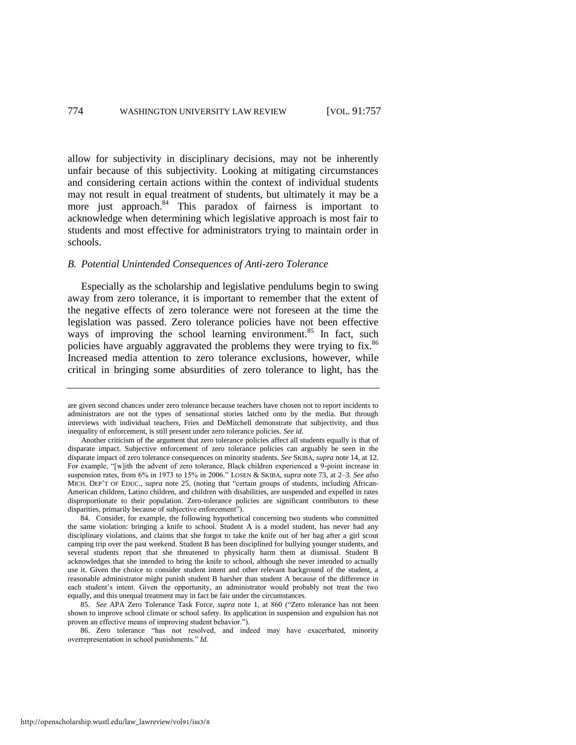<span id="page-18-0"></span>allow for subjectivity in disciplinary decisions, may not be inherently unfair because of this subjectivity. Looking at mitigating circumstances and considering certain actions within the context of individual students may not result in equal treatment of students, but ultimately it may be a more just approach.<sup>84</sup> This paradox of fairness is important to acknowledge when determining which legislative approach is most fair to students and most effective for administrators trying to maintain order in schools.

#### *B. Potential Unintended Consequences of Anti-zero Tolerance*

Especially as the scholarship and legislative pendulums begin to swing away from zero tolerance, it is important to remember that the extent of the negative effects of zero tolerance were not foreseen at the time the legislation was passed. Zero tolerance policies have not been effective ways of improving the school learning environment.<sup>85</sup> In fact, such policies have arguably aggravated the problems they were trying to fix.<sup>86</sup> Increased media attention to zero tolerance exclusions, however, while critical in bringing some absurdities of zero tolerance to light, has the

are given second chances under zero tolerance because teachers have chosen not to report incidents to administrators are not the types of sensational stories latched onto by the media. But through interviews with individual teachers, Fries and DeMitchell demonstrate that subjectivity, and thus inequality of enforcement, is still present under zero tolerance policies. *See id.*

Another criticism of the argument that zero tolerance policies affect all students equally is that of disparate impact. Subjective enforcement of zero tolerance policies can arguably be seen in the disparate impact of zero tolerance consequences on minority students. *See* SKIBA, *supra* not[e 14,](#page-3-1) at 12. For example, "[w]ith the advent of zero tolerance, Black children experienced a 9-point increase in suspension rates, from 6% in 1973 to 15% in 2006." LOSEN & SKIBA, *supra* not[e 73,](#page-15-1) at 2–3. *See also* MICH. DEP'T OF EDUC., *supra* note [25,](#page-5-0) (noting that "certain groups of students, including African-American children, Latino children, and children with disabilities, are suspended and expelled in rates disproportionate to their population. Zero-tolerance policies are significant contributors to these disparities, primarily because of subjective enforcement").

<sup>84.</sup> Consider, for example, the following hypothetical concerning two students who committed the same violation: bringing a knife to school. Student A is a model student, has never had any disciplinary violations, and claims that she forgot to take the knife out of her bag after a girl scout camping trip over the past weekend. Student B has been disciplined for bullying younger students, and several students report that she threatened to physically harm them at dismissal. Student B acknowledges that she intended to bring the knife to school, although she never intended to actually use it. Given the choice to consider student intent and other relevant background of the student, a reasonable administrator might punish student B harsher than student A because of the difference in each student's intent. Given the opportunity, an administrator would probably not treat the two equally, and this unequal treatment may in fact be fair under the circumstances.

<sup>85.</sup> *See* APA Zero Tolerance Task Force, *supra* note [1,](#page-1-2) at 860 ("Zero tolerance has not been shown to improve school climate or school safety. Its application in suspension and expulsion has not proven an effective means of improving student behavior.").

<sup>86.</sup> Zero tolerance "has not resolved, and indeed may have exacerbated, minority overrepresentation in school punishments." *Id.*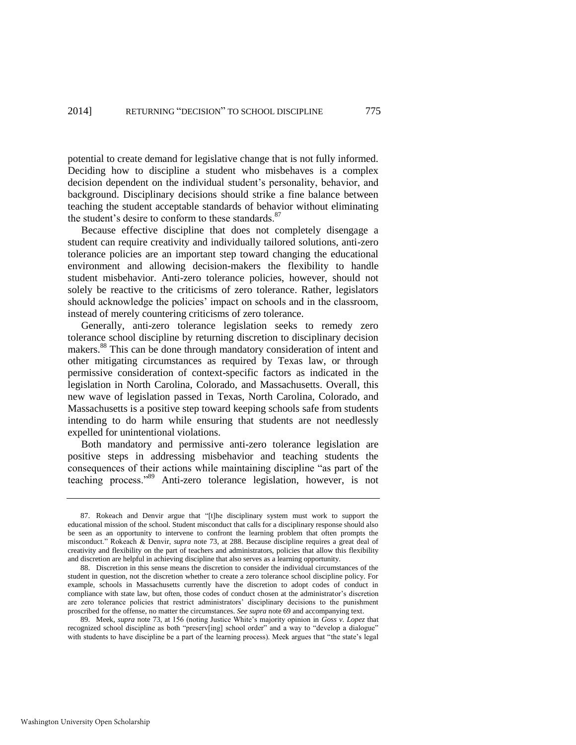potential to create demand for legislative change that is not fully informed. Deciding how to discipline a student who misbehaves is a complex decision dependent on the individual student's personality, behavior, and background. Disciplinary decisions should strike a fine balance between teaching the student acceptable standards of behavior without eliminating the student's desire to conform to these standards. $87$ 

Because effective discipline that does not completely disengage a student can require creativity and individually tailored solutions, anti-zero tolerance policies are an important step toward changing the educational environment and allowing decision-makers the flexibility to handle student misbehavior. Anti-zero tolerance policies, however, should not solely be reactive to the criticisms of zero tolerance. Rather, legislators should acknowledge the policies' impact on schools and in the classroom, instead of merely countering criticisms of zero tolerance.

Generally, anti-zero tolerance legislation seeks to remedy zero tolerance school discipline by returning discretion to disciplinary decision makers.<sup>88</sup> This can be done through mandatory consideration of intent and other mitigating circumstances as required by Texas law, or through permissive consideration of context-specific factors as indicated in the legislation in North Carolina, Colorado, and Massachusetts. Overall, this new wave of legislation passed in Texas, North Carolina, Colorado, and Massachusetts is a positive step toward keeping schools safe from students intending to do harm while ensuring that students are not needlessly expelled for unintentional violations.

Both mandatory and permissive anti-zero tolerance legislation are positive steps in addressing misbehavior and teaching students the consequences of their actions while maintaining discipline "as part of the teaching process."<sup>89</sup> Anti-zero tolerance legislation, however, is not

<sup>87.</sup> Rokeach and Denvir argue that "[t]he disciplinary system must work to support the educational mission of the school. Student misconduct that calls for a disciplinary response should also be seen as an opportunity to intervene to confront the learning problem that often prompts the misconduct." Rokeach & Denvir, *supra* note [73,](#page-15-0) at 288. Because discipline requires a great deal of creativity and flexibility on the part of teachers and administrators, policies that allow this flexibility and discretion are helpful in achieving discipline that also serves as a learning opportunity.

<sup>88.</sup> Discretion in this sense means the discretion to consider the individual circumstances of the student in question, not the discretion whether to create a zero tolerance school discipline policy. For example, schools in Massachusetts currently have the discretion to adopt codes of conduct in compliance with state law, but often, those codes of conduct chosen at the administrator's discretion are zero tolerance policies that restrict administrators' disciplinary decisions to the punishment proscribed for the offense, no matter the circumstances. *See supra* not[e 69](#page-14-0) and accompanying text.

<sup>89.</sup> Meek, *supra* note [73,](#page-15-0) at 156 (noting Justice White's majority opinion in *Goss v. Lopez* that recognized school discipline as both "preserv[ing] school order" and a way to "develop a dialogue" with students to have discipline be a part of the learning process). Meek argues that "the state's legal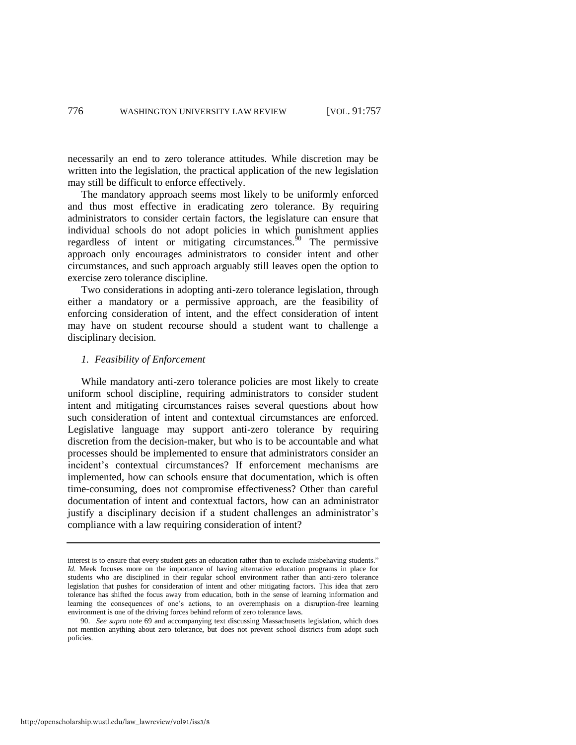necessarily an end to zero tolerance attitudes. While discretion may be written into the legislation, the practical application of the new legislation may still be difficult to enforce effectively.

The mandatory approach seems most likely to be uniformly enforced and thus most effective in eradicating zero tolerance. By requiring administrators to consider certain factors, the legislature can ensure that individual schools do not adopt policies in which punishment applies regardless of intent or mitigating circumstances. $\frac{50}{9}$  The permissive approach only encourages administrators to consider intent and other circumstances, and such approach arguably still leaves open the option to exercise zero tolerance discipline.

Two considerations in adopting anti-zero tolerance legislation, through either a mandatory or a permissive approach, are the feasibility of enforcing consideration of intent, and the effect consideration of intent may have on student recourse should a student want to challenge a disciplinary decision.

#### *1. Feasibility of Enforcement*

While mandatory anti-zero tolerance policies are most likely to create uniform school discipline, requiring administrators to consider student intent and mitigating circumstances raises several questions about how such consideration of intent and contextual circumstances are enforced. Legislative language may support anti-zero tolerance by requiring discretion from the decision-maker, but who is to be accountable and what processes should be implemented to ensure that administrators consider an incident's contextual circumstances? If enforcement mechanisms are implemented, how can schools ensure that documentation, which is often time-consuming, does not compromise effectiveness? Other than careful documentation of intent and contextual factors, how can an administrator justify a disciplinary decision if a student challenges an administrator's compliance with a law requiring consideration of intent?

interest is to ensure that every student gets an education rather than to exclude misbehaving students." *Id.* Meek focuses more on the importance of having alternative education programs in place for students who are disciplined in their regular school environment rather than anti-zero tolerance legislation that pushes for consideration of intent and other mitigating factors. This idea that zero tolerance has shifted the focus away from education, both in the sense of learning information and learning the consequences of one's actions, to an overemphasis on a disruption-free learning environment is one of the driving forces behind reform of zero tolerance laws.

<sup>90.</sup> *See supra* note [69](#page-14-0) and accompanying text discussing Massachusetts legislation, which does not mention anything about zero tolerance, but does not prevent school districts from adopt such policies.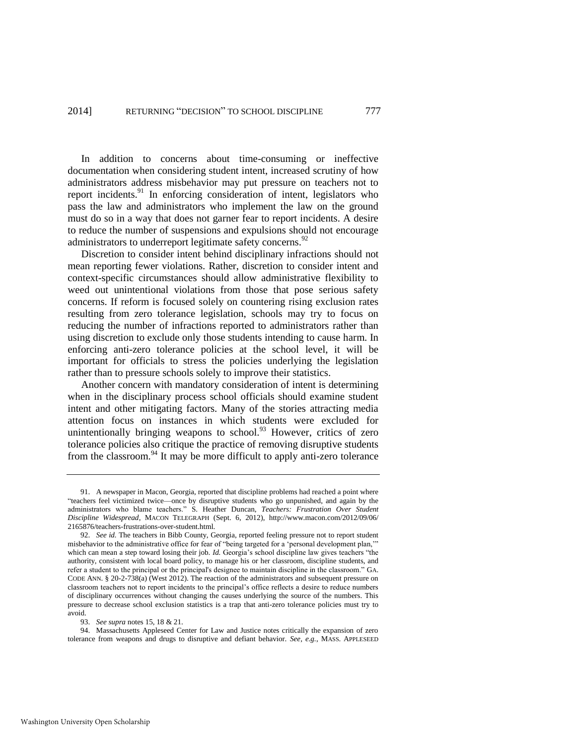In addition to concerns about time-consuming or ineffective documentation when considering student intent, increased scrutiny of how administrators address misbehavior may put pressure on teachers not to report incidents.<sup>91</sup> In enforcing consideration of intent, legislators who pass the law and administrators who implement the law on the ground must do so in a way that does not garner fear to report incidents. A desire to reduce the number of suspensions and expulsions should not encourage administrators to underreport legitimate safety concerns.<sup>92</sup>

Discretion to consider intent behind disciplinary infractions should not mean reporting fewer violations. Rather, discretion to consider intent and context-specific circumstances should allow administrative flexibility to weed out unintentional violations from those that pose serious safety concerns. If reform is focused solely on countering rising exclusion rates resulting from zero tolerance legislation, schools may try to focus on reducing the number of infractions reported to administrators rather than using discretion to exclude only those students intending to cause harm. In enforcing anti-zero tolerance policies at the school level, it will be important for officials to stress the policies underlying the legislation rather than to pressure schools solely to improve their statistics.

Another concern with mandatory consideration of intent is determining when in the disciplinary process school officials should examine student intent and other mitigating factors. Many of the stories attracting media attention focus on instances in which students were excluded for unintentionally bringing weapons to school. $93$  However, critics of zero tolerance policies also critique the practice of removing disruptive students from the classroom. $94$  It may be more difficult to apply anti-zero tolerance

94. Massachusetts Appleseed Center for Law and Justice notes critically the expansion of zero tolerance from weapons and drugs to disruptive and defiant behavior. *See, e.g.*, MASS. APPLESEED

<span id="page-21-0"></span><sup>91.</sup> A newspaper in Macon, Georgia, reported that discipline problems had reached a point where "teachers feel victimized twice—once by disruptive students who go unpunished, and again by the administrators who blame teachers." S. Heather Duncan, *Teachers: Frustration Over Student Discipline Widespread*, MACON TELEGRAPH (Sept. 6, 2012), [http://www.macon.com/2012/09/06/](http://www.macon.com/2012/09/06/2165876/)  [2165876/t](http://www.macon.com/2012/09/06/2165876/)eachers-frustrations-over-student.html.

<sup>92.</sup> *See id.* The teachers in Bibb County, Georgia, reported feeling pressure not to report student misbehavior to the administrative office for fear of "being targeted for a 'personal development plan,'" which can mean a step toward losing their job. *Id.* Georgia's school discipline law gives teachers "the authority, consistent with local board policy, to manage his or her classroom, discipline students, and refer a student to the principal or the principal's designee to maintain discipline in the classroom." GA. CODE ANN. § 20-2-738(a) (West 2012). The reaction of the administrators and subsequent pressure on classroom teachers not to report incidents to the principal's office reflects a desire to reduce numbers of disciplinary occurrences without changing the causes underlying the source of the numbers. This pressure to decrease school exclusion statistics is a trap that anti-zero tolerance policies must try to avoid.

<sup>93.</sup> *See supra* note[s 15,](#page-4-0) [18](#page-4-1) [& 21.](#page-4-2)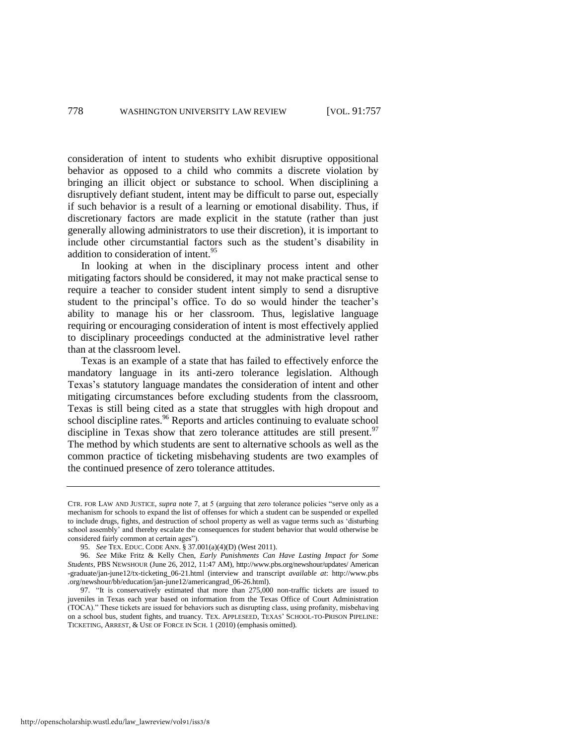consideration of intent to students who exhibit disruptive oppositional behavior as opposed to a child who commits a discrete violation by bringing an illicit object or substance to school. When disciplining a disruptively defiant student, intent may be difficult to parse out, especially if such behavior is a result of a learning or emotional disability. Thus, if discretionary factors are made explicit in the statute (rather than just generally allowing administrators to use their discretion), it is important to include other circumstantial factors such as the student's disability in addition to consideration of intent.<sup>95</sup>

In looking at when in the disciplinary process intent and other mitigating factors should be considered, it may not make practical sense to require a teacher to consider student intent simply to send a disruptive student to the principal's office. To do so would hinder the teacher's ability to manage his or her classroom. Thus, legislative language requiring or encouraging consideration of intent is most effectively applied to disciplinary proceedings conducted at the administrative level rather than at the classroom level.

<span id="page-22-1"></span><span id="page-22-0"></span>Texas is an example of a state that has failed to effectively enforce the mandatory language in its anti-zero tolerance legislation. Although Texas's statutory language mandates the consideration of intent and other mitigating circumstances before excluding students from the classroom, Texas is still being cited as a state that struggles with high dropout and school discipline rates.<sup>96</sup> Reports and articles continuing to evaluate school discipline in Texas show that zero tolerance attitudes are still present.<sup>97</sup> The method by which students are sent to alternative schools as well as the common practice of ticketing misbehaving students are two examples of the continued presence of zero tolerance attitudes.

CTR. FOR LAW AND JUSTICE, *supra* note [7,](#page-2-2) at 5 (arguing that zero tolerance policies "serve only as a mechanism for schools to expand the list of offenses for which a student can be suspended or expelled to include drugs, fights, and destruction of school property as well as vague terms such as 'disturbing school assembly' and thereby escalate the consequences for student behavior that would otherwise be considered fairly common at certain ages").

<sup>95.</sup> *See* TEX. EDUC. CODE ANN. § 37.001(a)(4)(D) (West 2011).

<sup>96.</sup> *See* Mike Fritz & Kelly Chen, *Early Punishments Can Have Lasting Impact for Some Students*, PBS NEWSHOUR (June 26, 2012, 11:47 AM), http://www.pbs.org/newshour/updates/ American -graduate/jan-june12/tx-ticketing\_06-21.html (interview and transcript *available at*: [http://www.pbs](http://www.pbs.org/newshour/bb/education/)  [.org/newshour/bb/education/j](http://www.pbs.org/newshour/bb/education/)an-june12/americangrad\_06-26.html).

<sup>97. &</sup>quot;It is conservatively estimated that more than 275,000 non-traffic tickets are issued to juveniles in Texas each year based on information from the Texas Office of Court Administration (TOCA)." These tickets are issued for behaviors such as disrupting class, using profanity, misbehaving on a school bus, student fights, and truancy. TEX. APPLESEED, TEXAS' SCHOOL-TO-PRISON PIPELINE: TICKETING, ARREST, & USE OF FORCE IN SCH. 1 (2010) (emphasis omitted).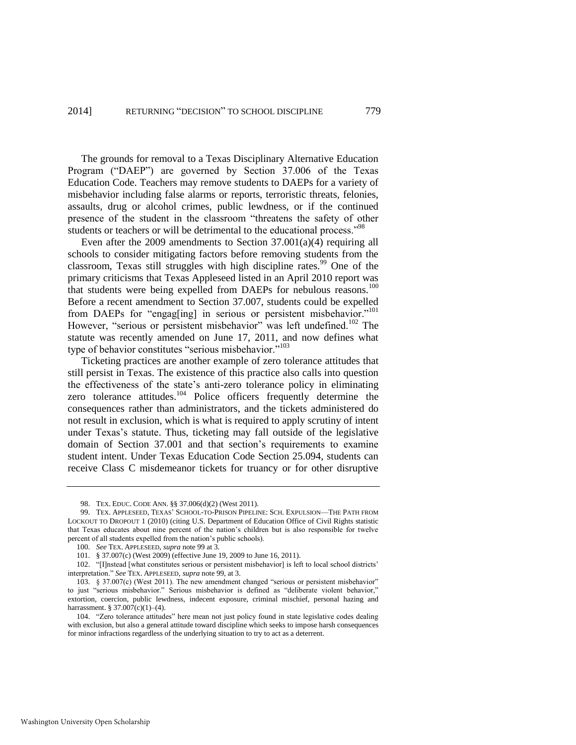The grounds for removal to a Texas Disciplinary Alternative Education Program ("DAEP") are governed by Section 37.006 of the Texas Education Code. Teachers may remove students to DAEPs for a variety of misbehavior including false alarms or reports, terroristic threats, felonies, assaults, drug or alcohol crimes, public lewdness, or if the continued presence of the student in the classroom "threatens the safety of other students or teachers or will be detrimental to the educational process."<sup>98</sup>

<span id="page-23-1"></span>Even after the 2009 amendments to Section 37.001(a)(4) requiring all schools to consider mitigating factors before removing students from the classroom, Texas still struggles with high discipline rates.<sup>99</sup> One of the primary criticisms that Texas Appleseed listed in an April 2010 report was that students were being expelled from DAEPs for nebulous reasons.<sup>100</sup> Before a recent amendment to Section 37.007, students could be expelled from DAEPs for "engag[ing] in serious or persistent misbehavior."<sup>101</sup> However, "serious or persistent misbehavior" was left undefined.<sup>102</sup> The statute was recently amended on June 17, 2011, and now defines what type of behavior constitutes "serious misbehavior."<sup>103</sup>

<span id="page-23-2"></span><span id="page-23-0"></span>Ticketing practices are another example of zero tolerance attitudes that still persist in Texas. The existence of this practice also calls into question the effectiveness of the state's anti-zero tolerance policy in eliminating zero tolerance attitudes. $104$  Police officers frequently determine the consequences rather than administrators, and the tickets administered do not result in exclusion, which is what is required to apply scrutiny of intent under Texas's statute. Thus, ticketing may fall outside of the legislative domain of Section 37.001 and that section's requirements to examine student intent. Under Texas Education Code Section 25.094, students can receive Class C misdemeanor tickets for truancy or for other disruptive

<sup>98.</sup> TEX. EDUC. CODE ANN. §§ 37.006(d)(2) (West 2011).

<sup>99.</sup> TEX. APPLESEED, TEXAS' SCHOOL-TO-PRISON PIPELINE: SCH. EXPULSION—THE PATH FROM LOCKOUT TO DROPOUT 1 (2010) (citing U.S. Department of Education Office of Civil Rights statistic that Texas educates about nine percent of the nation's children but is also responsible for twelve percent of all students expelled from the nation's public schools).

<sup>100.</sup> *See* TEX. APPLESEED, *supra* not[e 99 a](#page-23-1)t 3.

<sup>101. § 37.007(</sup>c) (West 2009) (effective June 19, 2009 to June 16, 2011).

<sup>102. &</sup>quot;[I]nstead [what constitutes serious or persistent misbehavior] is left to local school districts' interpretation." *See* TEX. APPLESEED, *supra* not[e 99,](#page-23-1) at 3.

<sup>103. § 37.007(</sup>c) (West 2011). The new amendment changed "serious or persistent misbehavior" to just "serious misbehavior." Serious misbehavior is defined as "deliberate violent behavior," extortion, coercion, public lewdness, indecent exposure, criminal mischief, personal hazing and harrassment. § 37.007(c)(1)–(4).

<sup>104. &</sup>quot;Zero tolerance attitudes" here mean not just policy found in state legislative codes dealing with exclusion, but also a general attitude toward discipline which seeks to impose harsh consequences for minor infractions regardless of the underlying situation to try to act as a deterrent.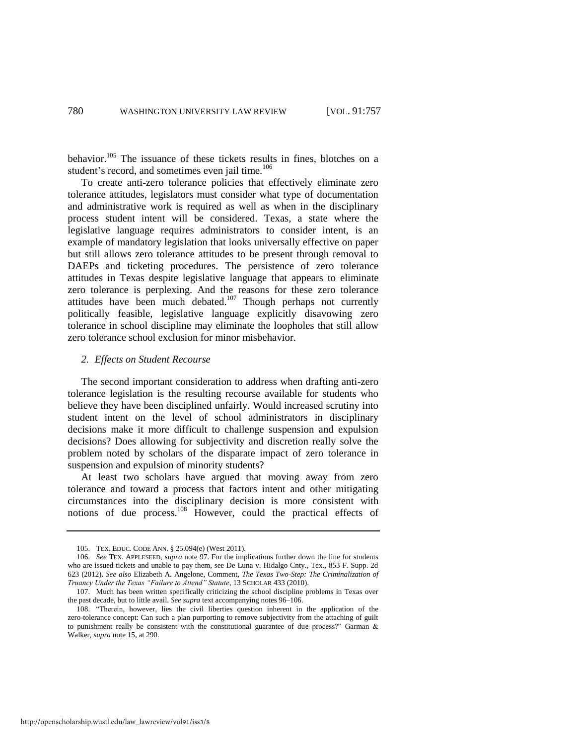behavior.<sup>105</sup> The issuance of these tickets results in fines, blotches on a student's record, and sometimes even jail time.<sup>106</sup>

<span id="page-24-0"></span>To create anti-zero tolerance policies that effectively eliminate zero tolerance attitudes, legislators must consider what type of documentation and administrative work is required as well as when in the disciplinary process student intent will be considered. Texas, a state where the legislative language requires administrators to consider intent, is an example of mandatory legislation that looks universally effective on paper but still allows zero tolerance attitudes to be present through removal to DAEPs and ticketing procedures. The persistence of zero tolerance attitudes in Texas despite legislative language that appears to eliminate zero tolerance is perplexing. And the reasons for these zero tolerance attitudes have been much debated.<sup>107</sup> Though perhaps not currently politically feasible, legislative language explicitly disavowing zero tolerance in school discipline may eliminate the loopholes that still allow zero tolerance school exclusion for minor misbehavior.

#### *2. Effects on Student Recourse*

The second important consideration to address when drafting anti-zero tolerance legislation is the resulting recourse available for students who believe they have been disciplined unfairly. Would increased scrutiny into student intent on the level of school administrators in disciplinary decisions make it more difficult to challenge suspension and expulsion decisions? Does allowing for subjectivity and discretion really solve the problem noted by scholars of the disparate impact of zero tolerance in suspension and expulsion of minority students?

At least two scholars have argued that moving away from zero tolerance and toward a process that factors intent and other mitigating circumstances into the disciplinary decision is more consistent with notions of due process.<sup>108</sup> However, could the practical effects of

<sup>105.</sup> TEX. EDUC. CODE ANN. § 25.094(e) (West 2011).

<sup>106.</sup> *See* TEX. APPLESEED, *supra* note [97.](#page-22-1) For the implications further down the line for students who are issued tickets and unable to pay them, see De Luna v. Hidalgo Cnty., Tex., 853 F. Supp. 2d 623 (2012). *See also* Elizabeth A. Angelone, Comment, *The Texas Two-Step: The Criminalization of Truancy Under the Texas "Failure to Attend" Statute*, 13 SCHOLAR 433 (2010).

<sup>107.</sup> Much has been written specifically criticizing the school discipline problems in Texas over the past decade, but to little avail. *See supra* text accompanying note[s 96–](#page-22-0)[106.](#page-24-0) 

<sup>108. &</sup>quot;Therein, however, lies the civil liberties question inherent in the application of the zero-tolerance concept: Can such a plan purporting to remove subjectivity from the attaching of guilt to punishment really be consistent with the constitutional guarantee of due process?" Garman  $\&$ Walker, *supra* not[e 15,](#page-4-0) at 290.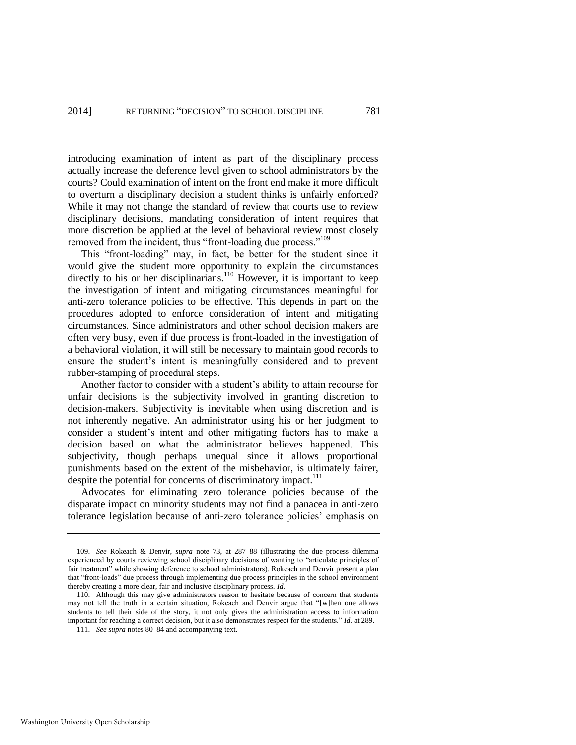introducing examination of intent as part of the disciplinary process actually increase the deference level given to school administrators by the courts? Could examination of intent on the front end make it more difficult to overturn a disciplinary decision a student thinks is unfairly enforced? While it may not change the standard of review that courts use to review disciplinary decisions, mandating consideration of intent requires that more discretion be applied at the level of behavioral review most closely removed from the incident, thus "front-loading due process."<sup>109</sup>

This "front-loading" may, in fact, be better for the student since it would give the student more opportunity to explain the circumstances directly to his or her disciplinarians.<sup>110</sup> However, it is important to keep the investigation of intent and mitigating circumstances meaningful for anti-zero tolerance policies to be effective. This depends in part on the procedures adopted to enforce consideration of intent and mitigating circumstances. Since administrators and other school decision makers are often very busy, even if due process is front-loaded in the investigation of a behavioral violation, it will still be necessary to maintain good records to ensure the student's intent is meaningfully considered and to prevent rubber-stamping of procedural steps.

Another factor to consider with a student's ability to attain recourse for unfair decisions is the subjectivity involved in granting discretion to decision-makers. Subjectivity is inevitable when using discretion and is not inherently negative. An administrator using his or her judgment to consider a student's intent and other mitigating factors has to make a decision based on what the administrator believes happened. This subjectivity, though perhaps unequal since it allows proportional punishments based on the extent of the misbehavior, is ultimately fairer, despite the potential for concerns of discriminatory impact.<sup>111</sup>

Advocates for eliminating zero tolerance policies because of the disparate impact on minority students may not find a panacea in anti-zero tolerance legislation because of anti-zero tolerance policies' emphasis on

<sup>109.</sup> *See* Rokeach & Denvir, *supra* note [73,](#page-15-0) at 287–88 (illustrating the due process dilemma experienced by courts reviewing school disciplinary decisions of wanting to "articulate principles of fair treatment" while showing deference to school administrators). Rokeach and Denvir present a plan that "front-loads" due process through implementing due process principles in the school environment thereby creating a more clear, fair and inclusive disciplinary process. *Id.*

<sup>110.</sup> Although this may give administrators reason to hesitate because of concern that students may not tell the truth in a certain situation, Rokeach and Denvir argue that "[w]hen one allows students to tell their side of the story, it not only gives the administration access to information important for reaching a correct decision, but it also demonstrates respect for the students." *Id.* at 289.

<sup>111.</sup> *See supra* note[s 80](#page-17-1)[–84 a](#page-18-0)nd accompanying text.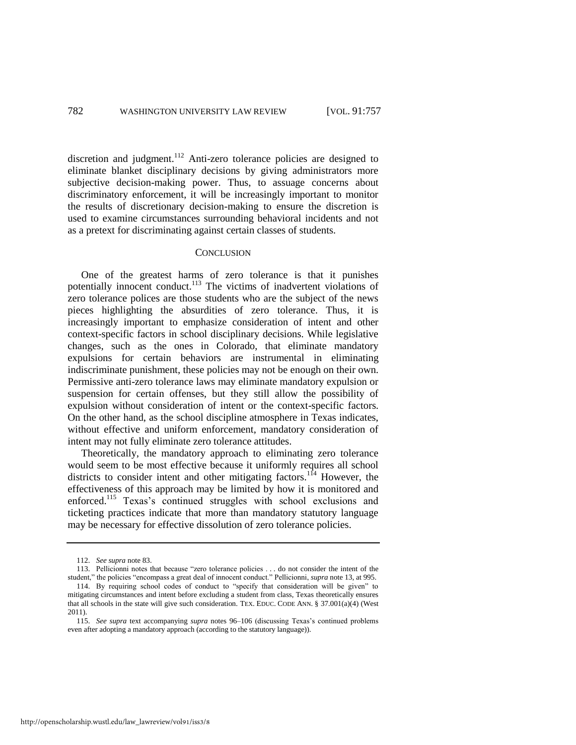discretion and judgment.<sup>112</sup> Anti-zero tolerance policies are designed to eliminate blanket disciplinary decisions by giving administrators more subjective decision-making power. Thus, to assuage concerns about discriminatory enforcement, it will be increasingly important to monitor the results of discretionary decision-making to ensure the discretion is used to examine circumstances surrounding behavioral incidents and not as a pretext for discriminating against certain classes of students.

#### **CONCLUSION**

One of the greatest harms of zero tolerance is that it punishes potentially innocent conduct.<sup>113</sup> The victims of inadvertent violations of zero tolerance polices are those students who are the subject of the news pieces highlighting the absurdities of zero tolerance. Thus, it is increasingly important to emphasize consideration of intent and other context-specific factors in school disciplinary decisions. While legislative changes, such as the ones in Colorado, that eliminate mandatory expulsions for certain behaviors are instrumental in eliminating indiscriminate punishment, these policies may not be enough on their own. Permissive anti-zero tolerance laws may eliminate mandatory expulsion or suspension for certain offenses, but they still allow the possibility of expulsion without consideration of intent or the context-specific factors. On the other hand, as the school discipline atmosphere in Texas indicates, without effective and uniform enforcement, mandatory consideration of intent may not fully eliminate zero tolerance attitudes.

Theoretically, the mandatory approach to eliminating zero tolerance would seem to be most effective because it uniformly requires all school districts to consider intent and other mitigating factors.<sup>114</sup> However, the effectiveness of this approach may be limited by how it is monitored and enforced.<sup>115</sup> Texas's continued struggles with school exclusions and ticketing practices indicate that more than mandatory statutory language may be necessary for effective dissolution of zero tolerance policies.

<sup>112.</sup> *See supra* not[e 83.](#page-17-0) 

<sup>113.</sup> Pellicionni notes that because "zero tolerance policies . . . do not consider the intent of the student," the policies "encompass a great deal of innocent conduct." Pellicionni, *supra* not[e 13,](#page-3-0) at 995.

<sup>114.</sup> By requiring school codes of conduct to "specify that consideration will be given" to mitigating circumstances and intent before excluding a student from class, Texas theoretically ensures that all schools in the state will give such consideration. TEX. EDUC. CODE ANN.  $\S$  37.001(a)(4) (West 2011).

<sup>115.</sup> *See supra* text accompanying *supra* notes [96](#page-22-0)[–106](#page-24-0) (discussing Texas's continued problems even after adopting a mandatory approach (according to the statutory language)).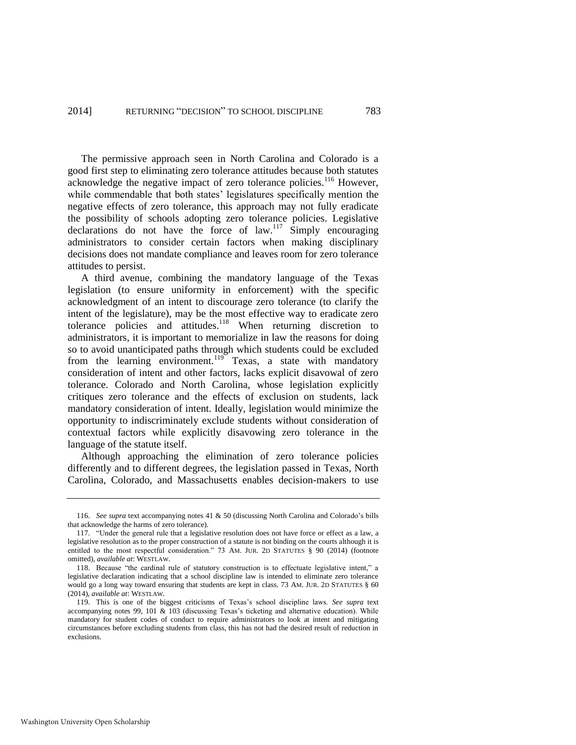The permissive approach seen in North Carolina and Colorado is a good first step to eliminating zero tolerance attitudes because both statutes acknowledge the negative impact of zero tolerance policies.<sup>116</sup> However, while commendable that both states' legislatures specifically mention the negative effects of zero tolerance, this approach may not fully eradicate the possibility of schools adopting zero tolerance policies. Legislative declarations do not have the force of law.<sup>117</sup> Simply encouraging administrators to consider certain factors when making disciplinary decisions does not mandate compliance and leaves room for zero tolerance attitudes to persist.

A third avenue, combining the mandatory language of the Texas legislation (to ensure uniformity in enforcement) with the specific acknowledgment of an intent to discourage zero tolerance (to clarify the intent of the legislature), may be the most effective way to eradicate zero tolerance policies and attitudes.<sup>118</sup> When returning discretion to administrators, it is important to memorialize in law the reasons for doing so to avoid unanticipated paths through which students could be excluded from the learning environment.<sup>119</sup> Texas, a state with mandatory consideration of intent and other factors, lacks explicit disavowal of zero tolerance. Colorado and North Carolina, whose legislation explicitly critiques zero tolerance and the effects of exclusion on students, lack mandatory consideration of intent. Ideally, legislation would minimize the opportunity to indiscriminately exclude students without consideration of contextual factors while explicitly disavowing zero tolerance in the language of the statute itself.

Although approaching the elimination of zero tolerance policies differently and to different degrees, the legislation passed in Texas, North Carolina, Colorado, and Massachusetts enables decision-makers to use

<sup>116.</sup> *See supra* text accompanying note[s 41](#page-10-0) [& 50 \(](#page-11-0)discussing North Carolina and Colorado's bills that acknowledge the harms of zero tolerance).

<sup>117. &</sup>quot;Under the general rule that a legislative resolution does not have force or effect as a law, a legislative resolution as to the proper construction of a statute is not binding on the courts although it is entitled to the most respectful consideration." 73 AM. JUR. 2D STATUTES § 90 (2014) (footnote omitted), *available at*: WESTLAW.

<sup>118.</sup> Because "the cardinal rule of statutory construction is to effectuate legislative intent," a legislative declaration indicating that a school discipline law is intended to eliminate zero tolerance would go a long way toward ensuring that students are kept in class. 73 AM. JUR. 2D STATUTES § 60 (2014), *available at*: WESTLAW.

<sup>119.</sup> This is one of the biggest criticisms of Texas's school discipline laws. *See supra* text accompanying notes [99,](#page-23-1) [101](#page-23-2) & [103](#page-23-0) (discussing Texas's ticketing and alternative education). While mandatory for student codes of conduct to require administrators to look at intent and mitigating circumstances before excluding students from class, this has not had the desired result of reduction in exclusions.